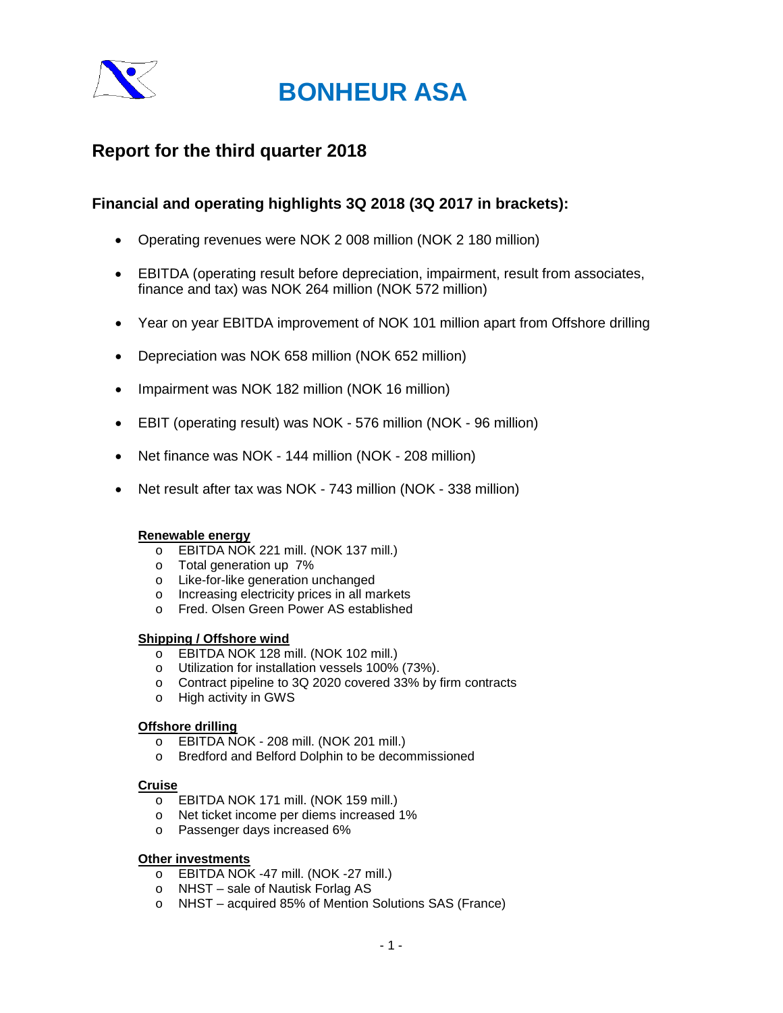

### **Report for the third quarter 2018**

### **Financial and operating highlights 3Q 2018 (3Q 2017 in brackets):**

- Operating revenues were NOK 2 008 million (NOK 2 180 million)
- EBITDA (operating result before depreciation, impairment, result from associates, finance and tax) was NOK 264 million (NOK 572 million)
- Year on year EBITDA improvement of NOK 101 million apart from Offshore drilling
- Depreciation was NOK 658 million (NOK 652 million)
- Impairment was NOK 182 million (NOK 16 million)
- EBIT (operating result) was NOK 576 million (NOK 96 million)
- Net finance was NOK 144 million (NOK 208 million)
- Net result after tax was NOK 743 million (NOK 338 million)

### **Renewable energy**

- o EBITDA NOK 221 mill. (NOK 137 mill.)
- o Total generation up 7%
- o Like-for-like generation unchanged
- o Increasing electricity prices in all markets
- o Fred. Olsen Green Power AS established

### **Shipping / Offshore wind**

- o EBITDA NOK 128 mill. (NOK 102 mill.)
- o Utilization for installation vessels 100% (73%).
- o Contract pipeline to 3Q 2020 covered 33% by firm contracts
- o High activity in GWS

### **Offshore drilling**

- o EBITDA NOK 208 mill. (NOK 201 mill.)
- o Bredford and Belford Dolphin to be decommissioned

### **Cruise**

- o EBITDA NOK 171 mill. (NOK 159 mill.)
- o Net ticket income per diems increased 1%
- o Passenger days increased 6%

### **Other investments**

- o EBITDA NOK -47 mill. (NOK -27 mill.)
- o NHST sale of Nautisk Forlag AS
- o NHST acquired 85% of Mention Solutions SAS (France)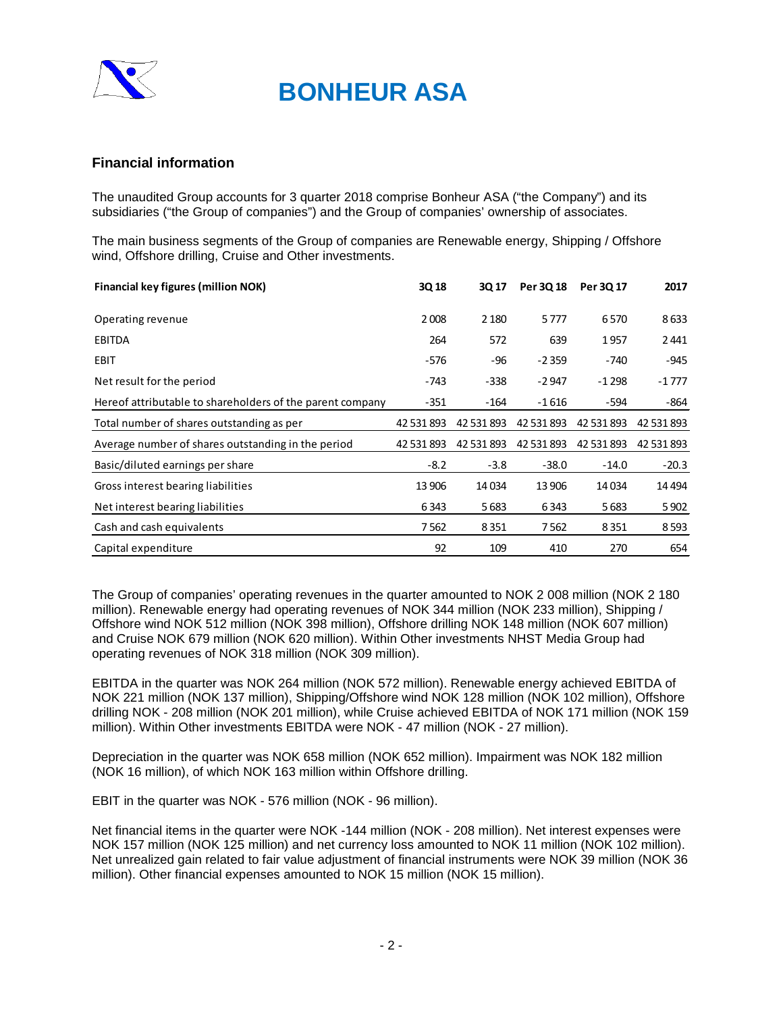

### **Financial information**

The unaudited Group accounts for 3 quarter 2018 comprise Bonheur ASA ("the Company") and its subsidiaries ("the Group of companies") and the Group of companies' ownership of associates.

The main business segments of the Group of companies are Renewable energy, Shipping / Offshore wind, Offshore drilling, Cruise and Other investments.

| <b>Financial key figures (million NOK)</b>                | 3Q 18      | 3Q 17      | Per 3Q 18  | Per 30 17  | 2017       |
|-----------------------------------------------------------|------------|------------|------------|------------|------------|
| Operating revenue                                         | 2008       | 2 1 8 0    | 5777       | 6570       | 8633       |
| <b>EBITDA</b>                                             | 264        | 572        | 639        | 1957       | 2441       |
| <b>EBIT</b>                                               | $-576$     | $-96$      | $-2359$    | $-740$     | $-945$     |
| Net result for the period                                 | -743       | $-338$     | $-2947$    | -1 298     | $-1777$    |
| Hereof attributable to shareholders of the parent company | $-351$     | $-164$     | -1 616     | -594       | -864       |
| Total number of shares outstanding as per                 | 42 531 893 | 42 531 893 | 42 531 893 | 42 531 893 | 42 531 893 |
| Average number of shares outstanding in the period        | 42 531 893 | 42 531 893 | 42 531 893 | 42 531 893 | 42 531 893 |
| Basic/diluted earnings per share                          | $-8.2$     | $-3.8$     | $-38.0$    | $-14.0$    | $-20.3$    |
| Gross interest bearing liabilities                        | 13 906     | 14034      | 13 906     | 14034      | 14 4 94    |
| Net interest bearing liabilities                          | 6343       | 5683       | 6343       | 5683       | 5 9 0 2    |
| Cash and cash equivalents                                 | 7562       | 8351       | 7562       | 8 3 5 1    | 8 5 9 3    |
| Capital expenditure                                       | 92         | 109        | 410        | 270        | 654        |

The Group of companies' operating revenues in the quarter amounted to NOK 2 008 million (NOK 2 180 million). Renewable energy had operating revenues of NOK 344 million (NOK 233 million), Shipping / Offshore wind NOK 512 million (NOK 398 million), Offshore drilling NOK 148 million (NOK 607 million) and Cruise NOK 679 million (NOK 620 million). Within Other investments NHST Media Group had operating revenues of NOK 318 million (NOK 309 million).

EBITDA in the quarter was NOK 264 million (NOK 572 million). Renewable energy achieved EBITDA of NOK 221 million (NOK 137 million), Shipping/Offshore wind NOK 128 million (NOK 102 million), Offshore drilling NOK - 208 million (NOK 201 million), while Cruise achieved EBITDA of NOK 171 million (NOK 159 million). Within Other investments EBITDA were NOK - 47 million (NOK - 27 million).

Depreciation in the quarter was NOK 658 million (NOK 652 million). Impairment was NOK 182 million (NOK 16 million), of which NOK 163 million within Offshore drilling.

EBIT in the quarter was NOK - 576 million (NOK - 96 million).

Net financial items in the quarter were NOK -144 million (NOK - 208 million). Net interest expenses were NOK 157 million (NOK 125 million) and net currency loss amounted to NOK 11 million (NOK 102 million). Net unrealized gain related to fair value adjustment of financial instruments were NOK 39 million (NOK 36 million). Other financial expenses amounted to NOK 15 million (NOK 15 million).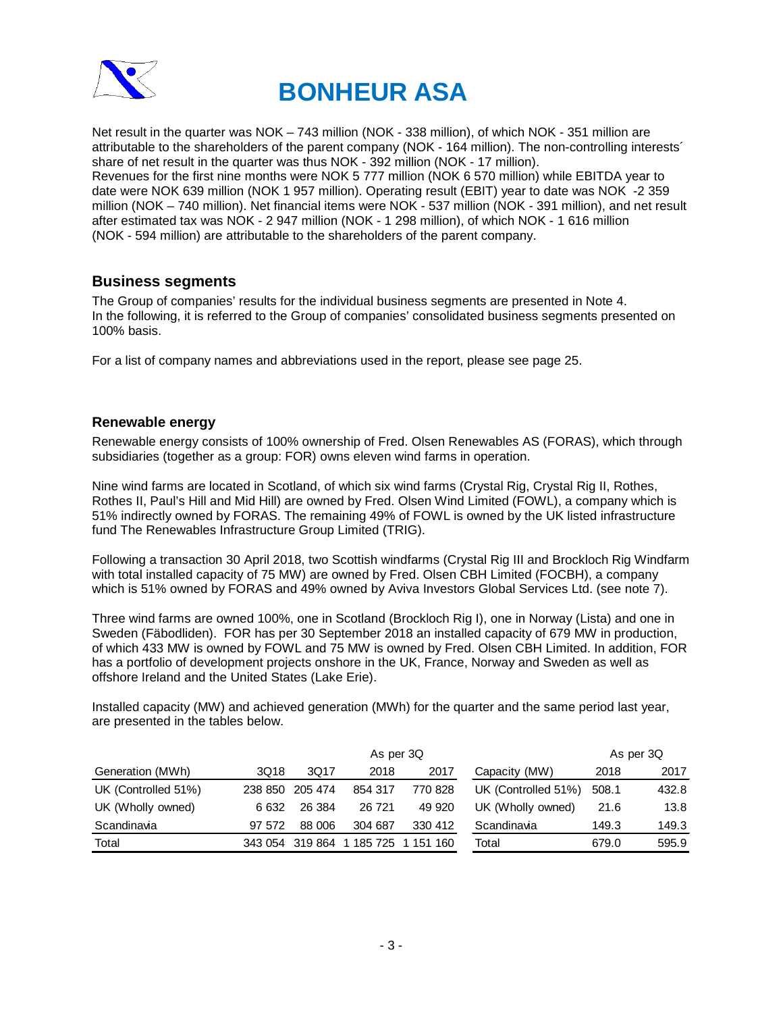

Net result in the quarter was NOK – 743 million (NOK - 338 million), of which NOK - 351 million are attributable to the shareholders of the parent company (NOK - 164 million). The non-controlling interests´ share of net result in the quarter was thus NOK - 392 million (NOK - 17 million). Revenues for the first nine months were NOK 5 777 million (NOK 6 570 million) while EBITDA year to date were NOK 639 million (NOK 1 957 million). Operating result (EBIT) year to date was NOK -2 359 million (NOK – 740 million). Net financial items were NOK - 537 million (NOK - 391 million), and net result after estimated tax was NOK - 2 947 million (NOK - 1 298 million), of which NOK - 1 616 million (NOK - 594 million) are attributable to the shareholders of the parent company.

### **Business segments**

The Group of companies' results for the individual business segments are presented in Note 4. In the following, it is referred to the Group of companies' consolidated business segments presented on 100% basis.

For a list of company names and abbreviations used in the report, please see page 25.

### **Renewable energy**

Renewable energy consists of 100% ownership of Fred. Olsen Renewables AS (FORAS), which through subsidiaries (together as a group: FOR) owns eleven wind farms in operation.

Nine wind farms are located in Scotland, of which six wind farms (Crystal Rig, Crystal Rig II, Rothes, Rothes II, Paul's Hill and Mid Hill) are owned by Fred. Olsen Wind Limited (FOWL), a company which is 51% indirectly owned by FORAS. The remaining 49% of FOWL is owned by the UK listed infrastructure fund The Renewables Infrastructure Group Limited (TRIG).

Following a transaction 30 April 2018, two Scottish windfarms (Crystal Rig III and Brockloch Rig Windfarm with total installed capacity of 75 MW) are owned by Fred. Olsen CBH Limited (FOCBH), a company which is 51% owned by FORAS and 49% owned by Aviva Investors Global Services Ltd. (see note 7).

Three wind farms are owned 100%, one in Scotland (Brockloch Rig I), one in Norway (Lista) and one in Sweden (Fäbodliden). FOR has per 30 September 2018 an installed capacity of 679 MW in production, of which 433 MW is owned by FOWL and 75 MW is owned by Fred. Olsen CBH Limited. In addition, FOR has a portfolio of development projects onshore in the UK, France, Norway and Sweden as well as offshore Ireland and the United States (Lake Erie).

Installed capacity (MW) and achieved generation (MWh) for the quarter and the same period last year, are presented in the tables below.

|                     | As per 3Q |         |         |         |                     |       | As per 3Q |
|---------------------|-----------|---------|---------|---------|---------------------|-------|-----------|
| Generation (MWh)    | 3Q18      | 3Q17    | 2018    | 2017    | Capacity (MW)       | 2018  | 2017      |
| UK (Controlled 51%) | 238 850   | 205 474 | 854 317 | 770 828 | UK (Controlled 51%) | 508.1 | 432.8     |
| UK (Wholly owned)   | 6 6 3 2   | 26 384  | 26 721  | 49 9 20 | UK (Wholly owned)   | 21.6  | 13.8      |
| Scandinavia         | 97 572    | 88 006  | 304 687 | 330 412 | Scandinavia         | 149.3 | 149.3     |
| Total               | 343 054   | 319 864 | 185 725 | 151 160 | Total               | 679.0 | 595.9     |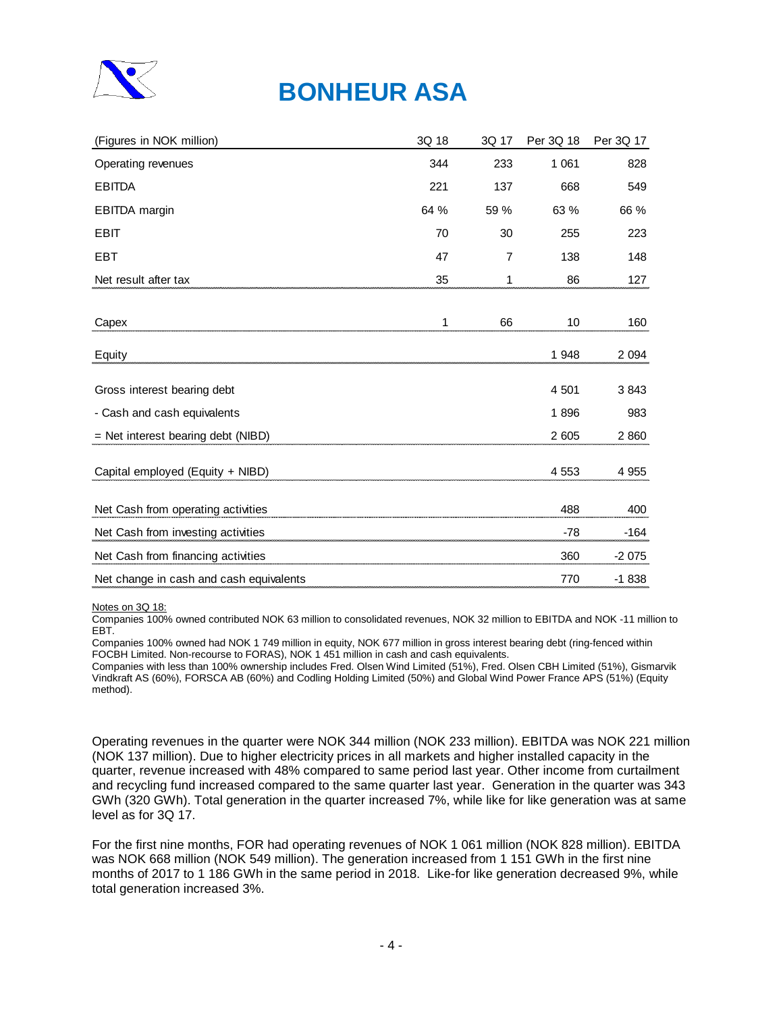

| (Figures in NOK million)                | 3Q 18 | 3Q 17 | Per 3Q 18 | Per 3Q 17 |
|-----------------------------------------|-------|-------|-----------|-----------|
| Operating revenues                      | 344   | 233   | 1 0 6 1   | 828       |
| <b>EBITDA</b>                           | 221   | 137   | 668       | 549       |
| EBITDA margin                           | 64 %  | 59 %  | 63 %      | 66 %      |
| <b>EBIT</b>                             | 70    | 30    | 255       | 223       |
| <b>EBT</b>                              | 47    | 7     | 138       | 148       |
| Net result after tax                    | 35    | 1     | 86        | 127       |
|                                         |       |       |           |           |
| Capex                                   | 1     | 66    | 10        | 160       |
| Equity                                  |       |       | 1 948     | 2 0 9 4   |
| Gross interest bearing debt             |       |       | 4 501     | 3843      |
| - Cash and cash equivalents             |       |       | 1896      | 983       |
| = Net interest bearing debt (NIBD)      |       |       | 2 605     | 2 8 6 0   |
| Capital employed (Equity + NIBD)        |       |       | 4 5 5 3   | 4 9 5 5   |
| Net Cash from operating activities      |       |       | 488       | 400       |
| Net Cash from investing activities      |       |       | $-78$     | $-164$    |
| Net Cash from financing activities      |       |       | 360       | $-2075$   |
| Net change in cash and cash equivalents |       |       | 770       | $-1838$   |

Notes on 3Q 18:

Companies 100% owned contributed NOK 63 million to consolidated revenues, NOK 32 million to EBITDA and NOK -11 million to EBT.

Companies 100% owned had NOK 1 749 million in equity, NOK 677 million in gross interest bearing debt (ring-fenced within FOCBH Limited. Non-recourse to FORAS), NOK 1 451 million in cash and cash equivalents.

Companies with less than 100% ownership includes Fred. Olsen Wind Limited (51%), Fred. Olsen CBH Limited (51%), Gismarvik Vindkraft AS (60%), FORSCA AB (60%) and Codling Holding Limited (50%) and Global Wind Power France APS (51%) (Equity method).

Operating revenues in the quarter were NOK 344 million (NOK 233 million). EBITDA was NOK 221 million (NOK 137 million). Due to higher electricity prices in all markets and higher installed capacity in the quarter, revenue increased with 48% compared to same period last year. Other income from curtailment and recycling fund increased compared to the same quarter last year. Generation in the quarter was 343 GWh (320 GWh). Total generation in the quarter increased 7%, while like for like generation was at same level as for 3Q 17.

For the first nine months, FOR had operating revenues of NOK 1 061 million (NOK 828 million). EBITDA was NOK 668 million (NOK 549 million). The generation increased from 1 151 GWh in the first nine months of 2017 to 1 186 GWh in the same period in 2018. Like-for like generation decreased 9%, while total generation increased 3%.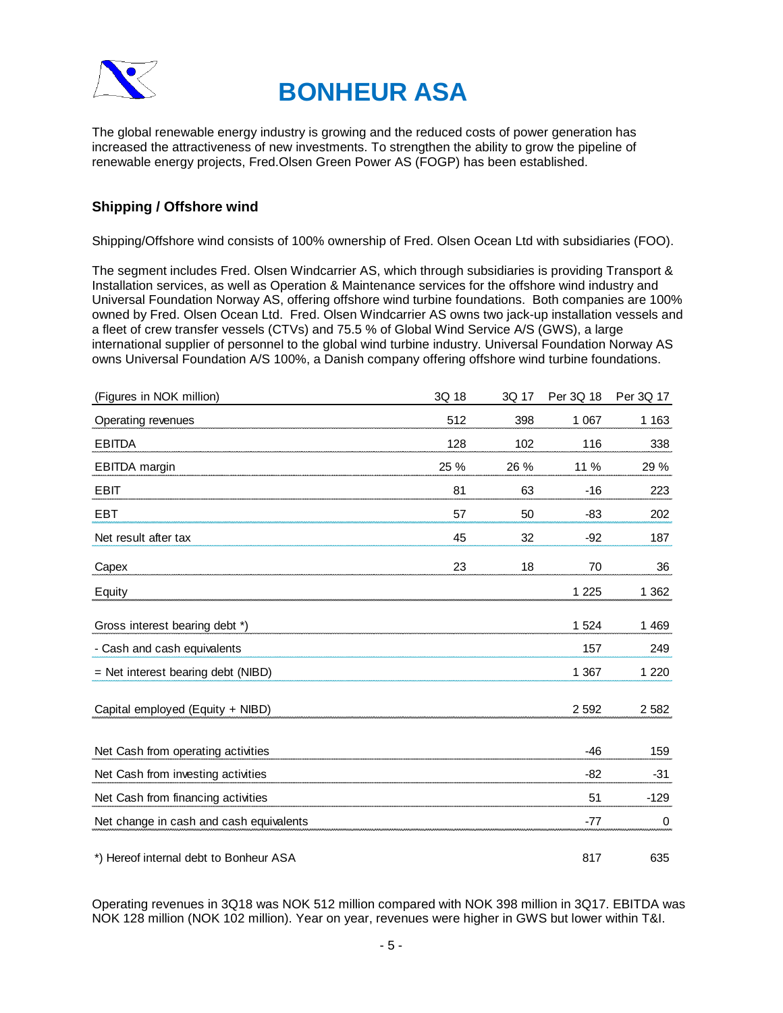



The global renewable energy industry is growing and the reduced costs of power generation has increased the attractiveness of new investments. To strengthen the ability to grow the pipeline of renewable energy projects, Fred.Olsen Green Power AS (FOGP) has been established.

### **Shipping / Offshore wind**

Shipping/Offshore wind consists of 100% ownership of Fred. Olsen Ocean Ltd with subsidiaries (FOO).

The segment includes Fred. Olsen Windcarrier AS, which through subsidiaries is providing Transport & Installation services, as well as Operation & Maintenance services for the offshore wind industry and Universal Foundation Norway AS, offering offshore wind turbine foundations. Both companies are 100% owned by Fred. Olsen Ocean Ltd. Fred. Olsen Windcarrier AS owns two jack-up installation vessels and a fleet of crew transfer vessels (CTVs) and 75.5 % of Global Wind Service A/S (GWS), a large international supplier of personnel to the global wind turbine industry. Universal Foundation Norway AS owns Universal Foundation A/S 100%, a Danish company offering offshore wind turbine foundations.

| (Figures in NOK million)                | 3Q 18 | 3Q 17 | Per 3Q 18 | Per 3Q 17 |
|-----------------------------------------|-------|-------|-----------|-----------|
| Operating revenues                      | 512   | 398   | 1 0 6 7   | 1 1 6 3   |
| <b>EBITDA</b>                           | 128   | 102   | 116       | 338       |
| <b>EBITDA</b> margin                    | 25 %  | 26 %  | 11 %      | 29 %      |
| <b>EBIT</b>                             | 81    | 63    | $-16$     | 223       |
| <b>EBT</b>                              | 57    | 50    | $-83$     | 202       |
| Net result after tax                    | 45    | 32    | $-92$     | 187       |
| Capex                                   | 23    | 18    | 70        | 36        |
| Equity                                  |       |       | 1 2 2 5   | 1 3 6 2   |
| Gross interest bearing debt *)          |       |       | 1 5 2 4   | 1 4 6 9   |
| - Cash and cash equivalents             |       |       | 157       | 249       |
| $=$ Net interest bearing debt (NIBD)    |       |       | 1 3 6 7   | 1 2 2 0   |
| Capital employed (Equity + NIBD)        |       |       | 2 5 9 2   | 2 5 8 2   |
| Net Cash from operating activities      |       |       | $-46$     | 159       |
| Net Cash from investing activities      |       |       | $-82$     | $-31$     |
| Net Cash from financing activities      |       |       | 51        | $-129$    |
| Net change in cash and cash equivalents |       |       | $-77$     | 0         |
| *) Hereof internal debt to Bonheur ASA  |       |       | 817       | 635       |

Operating revenues in 3Q18 was NOK 512 million compared with NOK 398 million in 3Q17. EBITDA was NOK 128 million (NOK 102 million). Year on year, revenues were higher in GWS but lower within T&I.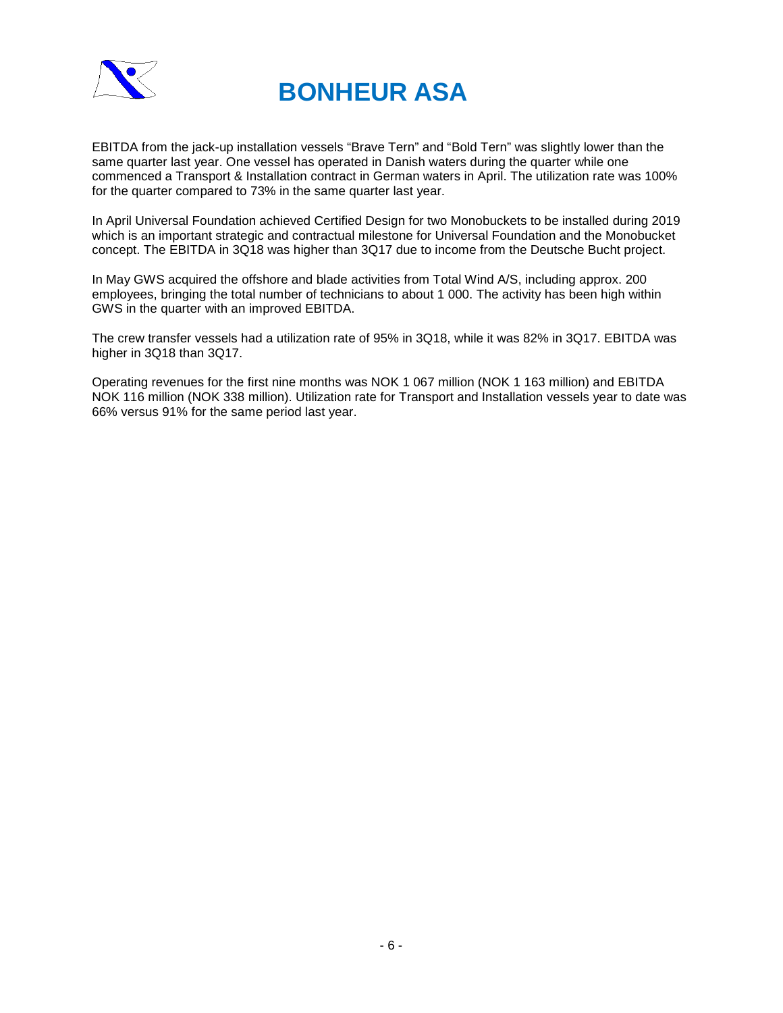

EBITDA from the jack-up installation vessels "Brave Tern" and "Bold Tern" was slightly lower than the same quarter last year. One vessel has operated in Danish waters during the quarter while one commenced a Transport & Installation contract in German waters in April. The utilization rate was 100% for the quarter compared to 73% in the same quarter last year.

In April Universal Foundation achieved Certified Design for two Monobuckets to be installed during 2019 which is an important strategic and contractual milestone for Universal Foundation and the Monobucket concept. The EBITDA in 3Q18 was higher than 3Q17 due to income from the Deutsche Bucht project.

In May GWS acquired the offshore and blade activities from Total Wind A/S, including approx. 200 employees, bringing the total number of technicians to about 1 000. The activity has been high within GWS in the quarter with an improved EBITDA.

The crew transfer vessels had a utilization rate of 95% in 3Q18, while it was 82% in 3Q17. EBITDA was higher in 3Q18 than 3Q17.

Operating revenues for the first nine months was NOK 1 067 million (NOK 1 163 million) and EBITDA NOK 116 million (NOK 338 million). Utilization rate for Transport and Installation vessels year to date was 66% versus 91% for the same period last year.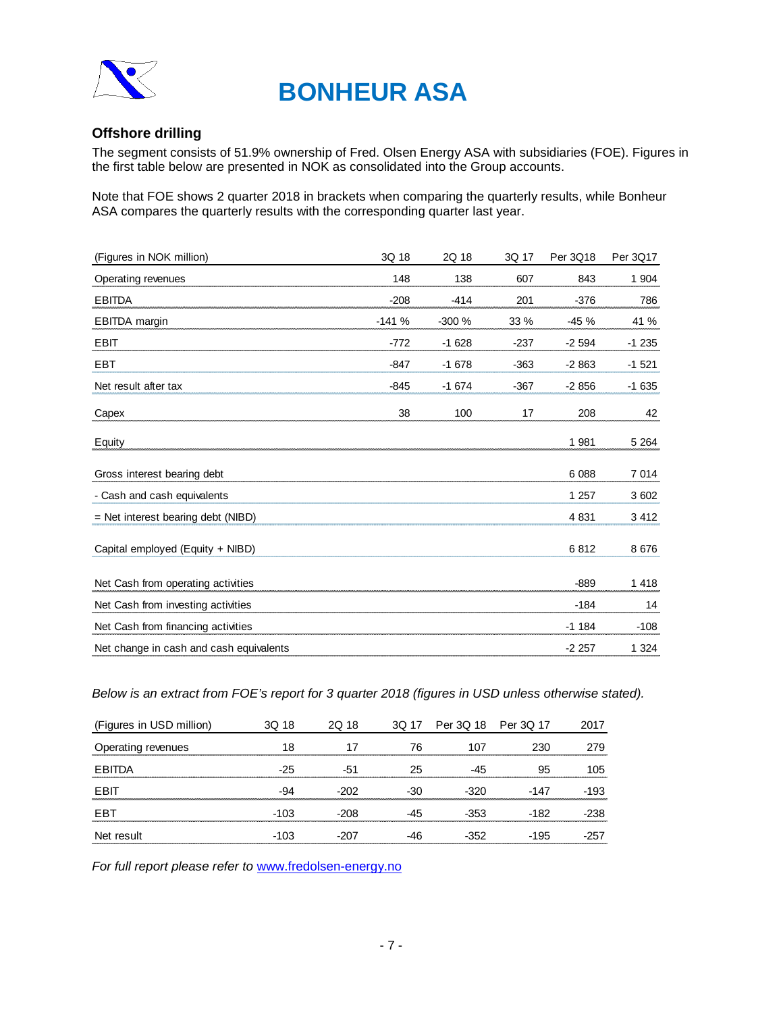

### **Offshore drilling**

The segment consists of 51.9% ownership of Fred. Olsen Energy ASA with subsidiaries (FOE). Figures in the first table below are presented in NOK as consolidated into the Group accounts.

Note that FOE shows 2 quarter 2018 in brackets when comparing the quarterly results, while Bonheur ASA compares the quarterly results with the corresponding quarter last year.

| (Figures in NOK million)                | 3Q 18   | 2Q 18   | 3Q 17  | Per 3Q18 | Per 3Q17 |
|-----------------------------------------|---------|---------|--------|----------|----------|
| Operating revenues                      | 148     | 138     | 607    | 843      | 1 904    |
| <b>EBITDA</b>                           | $-208$  | $-414$  | 201    | $-376$   | 786      |
| <b>EBITDA</b> margin                    | $-141%$ | $-300%$ | 33 %   | $-45%$   | 41 %     |
| EBIT                                    | $-772$  | $-1628$ | $-237$ | $-2594$  | $-1235$  |
| <b>EBT</b>                              | $-847$  | $-1678$ | $-363$ | $-2863$  | $-1521$  |
| Net result after tax                    | $-845$  | $-1674$ | $-367$ | $-2856$  | $-1635$  |
| Capex                                   | 38      | 100     | 17     | 208      | 42       |
| Equity                                  |         |         |        | 1 981    | 5 2 6 4  |
| Gross interest bearing debt             |         |         |        | 6 0 8 8  | 7014     |
| - Cash and cash equivalents             |         |         |        | 1 2 5 7  | 3 602    |
| $=$ Net interest bearing debt (NIBD)    |         |         |        | 4 8 31   | 3 4 1 2  |
| Capital employed (Equity + NIBD)        |         |         |        | 6812     | 8676     |
| Net Cash from operating activities      |         |         |        | $-889$   | 1 4 1 8  |
| Net Cash from investing activities      |         |         |        | $-184$   | 14       |
| Net Cash from financing activities      |         |         |        | $-1184$  | $-108$   |
| Net change in cash and cash equivalents |         |         |        | $-2257$  | 1 3 2 4  |

*Below is an extract from FOE's report for 3 quarter 2018 (figures in USD unless otherwise stated).*

| (Figures in USD million) | 3Q 18  | 2Q 18 | 3Q 17 | Per 3Q 18 Per 3Q 17 |        | 2017   |
|--------------------------|--------|-------|-------|---------------------|--------|--------|
| Operating revenues       | 18     |       | 76    | 107                 | 230    | 279    |
| FBITDA                   | $-25$  | -51   | 25    | -45                 | 95     | 105    |
| <b>FBIT</b>              | -94    | -202  | -30   | $-320$              | -147   | $-193$ |
| FBT                      | -103   | -208  | -45   | -353                | -182   | -238   |
| Net result               | $-103$ | -207  | -46   | $-352$              | $-195$ | $-257$ |

*For full report please refer to* [www.fredolsen-energy.no](http://www.fredolsen-energy.no/)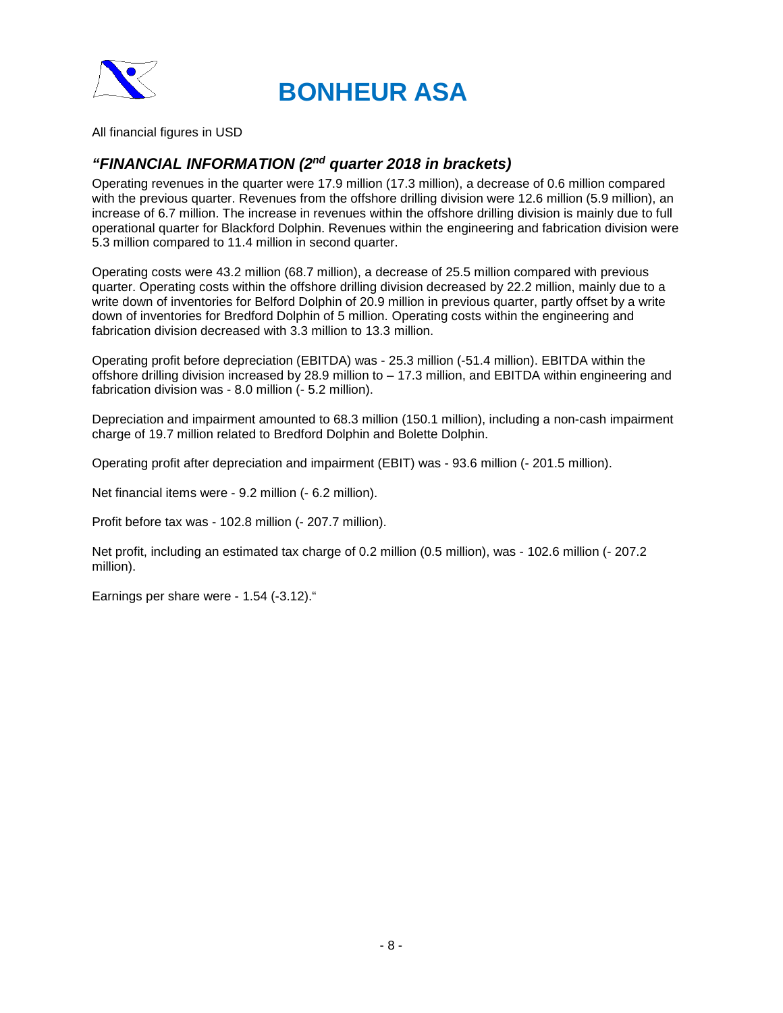

All financial figures in USD

### *"FINANCIAL INFORMATION (2nd quarter 2018 in brackets)*

Operating revenues in the quarter were 17.9 million (17.3 million), a decrease of 0.6 million compared with the previous quarter. Revenues from the offshore drilling division were 12.6 million (5.9 million), an increase of 6.7 million. The increase in revenues within the offshore drilling division is mainly due to full operational quarter for Blackford Dolphin. Revenues within the engineering and fabrication division were 5.3 million compared to 11.4 million in second quarter.

Operating costs were 43.2 million (68.7 million), a decrease of 25.5 million compared with previous quarter. Operating costs within the offshore drilling division decreased by 22.2 million, mainly due to a write down of inventories for Belford Dolphin of 20.9 million in previous quarter, partly offset by a write down of inventories for Bredford Dolphin of 5 million. Operating costs within the engineering and fabrication division decreased with 3.3 million to 13.3 million.

Operating profit before depreciation (EBITDA) was - 25.3 million (-51.4 million). EBITDA within the offshore drilling division increased by 28.9 million to – 17.3 million, and EBITDA within engineering and fabrication division was - 8.0 million (- 5.2 million).

Depreciation and impairment amounted to 68.3 million (150.1 million), including a non-cash impairment charge of 19.7 million related to Bredford Dolphin and Bolette Dolphin.

Operating profit after depreciation and impairment (EBIT) was - 93.6 million (- 201.5 million).

Net financial items were - 9.2 million (- 6.2 million).

Profit before tax was - 102.8 million (- 207.7 million).

Net profit, including an estimated tax charge of 0.2 million (0.5 million), was - 102.6 million (- 207.2 million).

Earnings per share were - 1.54 (-3.12)."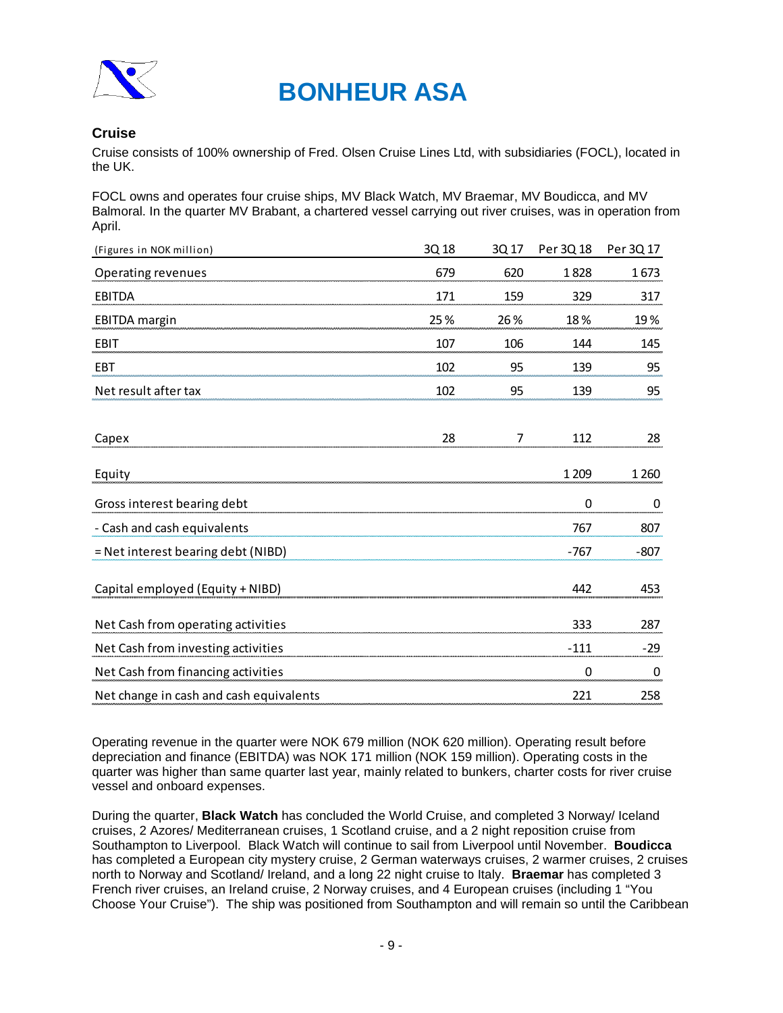

### **Cruise**

Cruise consists of 100% ownership of Fred. Olsen Cruise Lines Ltd, with subsidiaries (FOCL), located in the UK.

FOCL owns and operates four cruise ships, MV Black Watch, MV Braemar, MV Boudicca, and MV Balmoral. In the quarter MV Brabant, a chartered vessel carrying out river cruises, was in operation from April.

| (Figures in NOK million)                | 3Q 18 | 3Q 17 | Per 3Q 18   | Per 3Q 17 |
|-----------------------------------------|-------|-------|-------------|-----------|
| Operating revenues                      | 679   | 620   | 1828        | 1673      |
| <b>EBITDA</b>                           | 171   | 159   | 329         | 317       |
| <b>EBITDA</b> margin                    | 25%   | 26 %  | 18%         | 19%       |
| <b>EBIT</b>                             | 107   | 106   | 144         | 145       |
| EBT                                     | 102   | 95    | 139         | 95        |
| Net result after tax                    | 102   | 95    | 139         | 95        |
| Capex                                   | 28    | 7     | 112         | 28        |
| Equity                                  |       |       | 1 2 0 9     | 1 2 6 0   |
| Gross interest bearing debt             |       |       | 0           | 0         |
| - Cash and cash equivalents             |       |       | 767         | 807       |
| = Net interest bearing debt (NIBD)      |       |       | $-767$      | $-807$    |
| Capital employed (Equity + NIBD)        |       |       | 442         | 453       |
| Net Cash from operating activities      |       |       | 333         | 287       |
| Net Cash from investing activities      |       |       | $-111$      | $-29$     |
| Net Cash from financing activities      |       |       | $\mathbf 0$ | 0         |
| Net change in cash and cash equivalents |       |       | 221         | 258       |

Operating revenue in the quarter were NOK 679 million (NOK 620 million). Operating result before depreciation and finance (EBITDA) was NOK 171 million (NOK 159 million). Operating costs in the quarter was higher than same quarter last year, mainly related to bunkers, charter costs for river cruise vessel and onboard expenses.

During the quarter, **Black Watch** has concluded the World Cruise, and completed 3 Norway/ Iceland cruises, 2 Azores/ Mediterranean cruises, 1 Scotland cruise, and a 2 night reposition cruise from Southampton to Liverpool. Black Watch will continue to sail from Liverpool until November. **Boudicca** has completed a European city mystery cruise, 2 German waterways cruises, 2 warmer cruises, 2 cruises north to Norway and Scotland/ Ireland, and a long 22 night cruise to Italy. **Braemar** has completed 3 French river cruises, an Ireland cruise, 2 Norway cruises, and 4 European cruises (including 1 "You Choose Your Cruise"). The ship was positioned from Southampton and will remain so until the Caribbean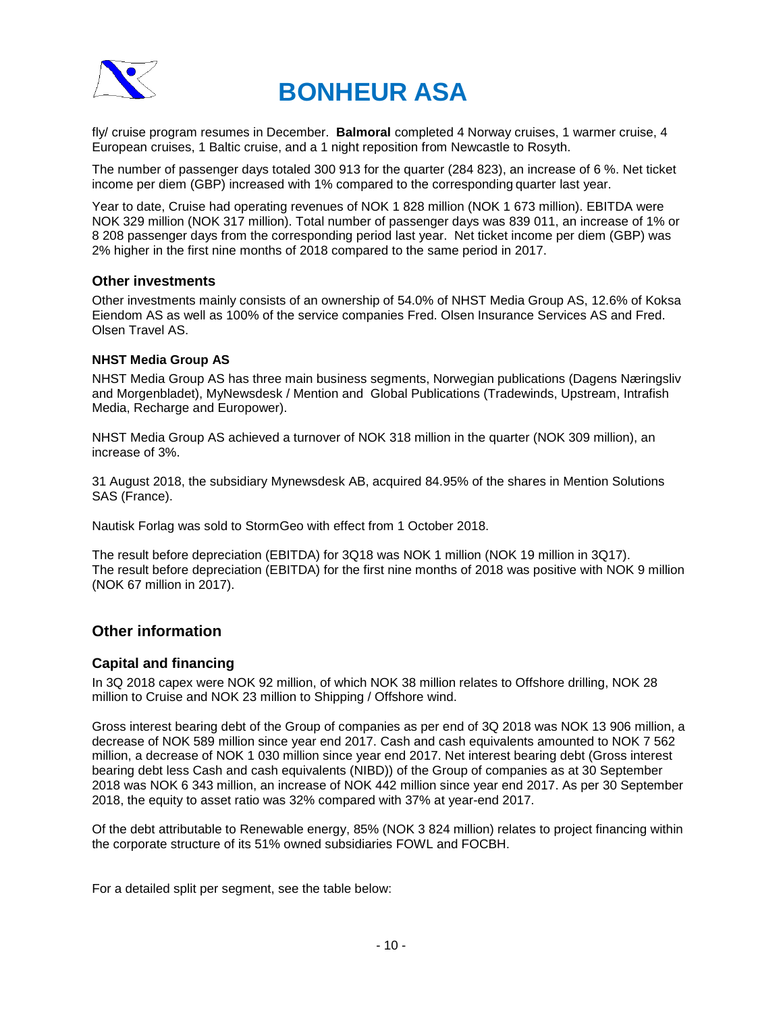

fly/ cruise program resumes in December. **Balmoral** completed 4 Norway cruises, 1 warmer cruise, 4 European cruises, 1 Baltic cruise, and a 1 night reposition from Newcastle to Rosyth.

The number of passenger days totaled 300 913 for the quarter (284 823), an increase of 6 %. Net ticket income per diem (GBP) increased with 1% compared to the corresponding quarter last year.

Year to date, Cruise had operating revenues of NOK 1 828 million (NOK 1 673 million). EBITDA were NOK 329 million (NOK 317 million). Total number of passenger days was 839 011, an increase of 1% or 8 208 passenger days from the corresponding period last year. Net ticket income per diem (GBP) was 2% higher in the first nine months of 2018 compared to the same period in 2017.

### **Other investments**

Other investments mainly consists of an ownership of 54.0% of NHST Media Group AS, 12.6% of Koksa Eiendom AS as well as 100% of the service companies Fred. Olsen Insurance Services AS and Fred. Olsen Travel AS.

### **NHST Media Group AS**

NHST Media Group AS has three main business segments, Norwegian publications (Dagens Næringsliv and Morgenbladet), MyNewsdesk / Mention and Global Publications (Tradewinds, Upstream, Intrafish Media, Recharge and Europower).

NHST Media Group AS achieved a turnover of NOK 318 million in the quarter (NOK 309 million), an increase of 3%.

31 August 2018, the subsidiary Mynewsdesk AB, acquired 84.95% of the shares in Mention Solutions SAS (France).

Nautisk Forlag was sold to StormGeo with effect from 1 October 2018.

The result before depreciation (EBITDA) for 3Q18 was NOK 1 million (NOK 19 million in 3Q17). The result before depreciation (EBITDA) for the first nine months of 2018 was positive with NOK 9 million (NOK 67 million in 2017).

### **Other information**

### **Capital and financing**

In 3Q 2018 capex were NOK 92 million, of which NOK 38 million relates to Offshore drilling, NOK 28 million to Cruise and NOK 23 million to Shipping / Offshore wind.

Gross interest bearing debt of the Group of companies as per end of 3Q 2018 was NOK 13 906 million, a decrease of NOK 589 million since year end 2017. Cash and cash equivalents amounted to NOK 7 562 million, a decrease of NOK 1 030 million since year end 2017. Net interest bearing debt (Gross interest bearing debt less Cash and cash equivalents (NIBD)) of the Group of companies as at 30 September 2018 was NOK 6 343 million, an increase of NOK 442 million since year end 2017. As per 30 September 2018, the equity to asset ratio was 32% compared with 37% at year-end 2017.

Of the debt attributable to Renewable energy, 85% (NOK 3 824 million) relates to project financing within the corporate structure of its 51% owned subsidiaries FOWL and FOCBH.

For a detailed split per segment, see the table below: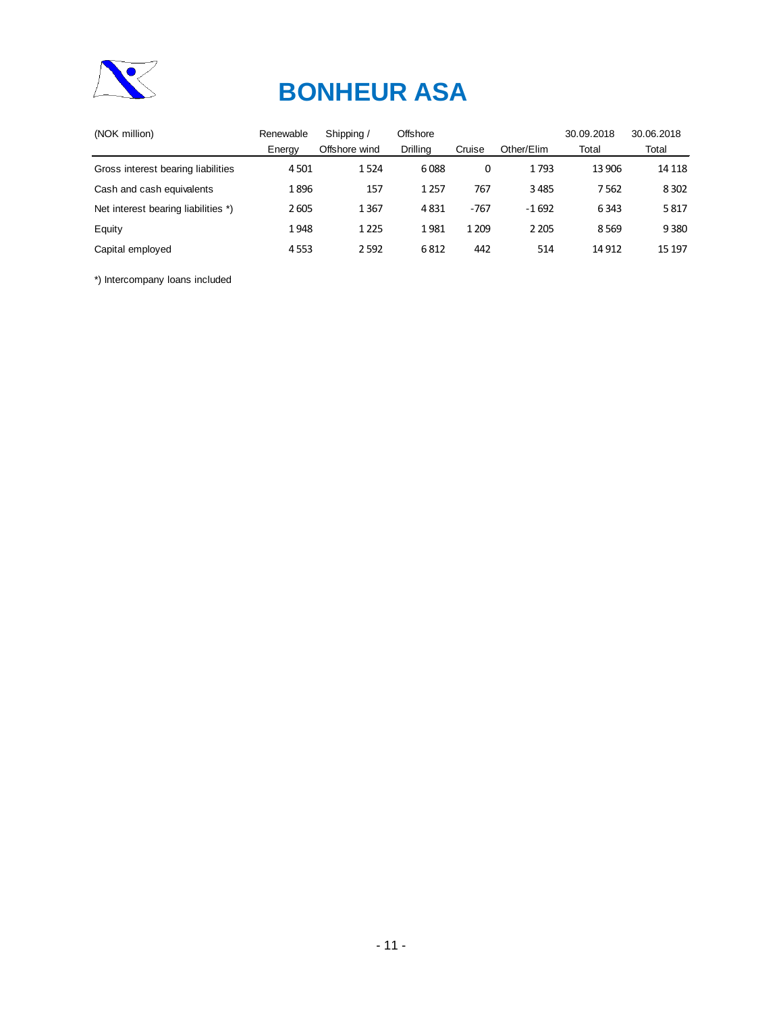

| Renewable | Shipping /    | Offshore |         |            | 30.09.2018 | 30.06.2018 |
|-----------|---------------|----------|---------|------------|------------|------------|
| Energy    | Offshore wind | Drilling | Cruise  | Other/Elim | Total      | Total      |
| 4501      | 1524          | 6088     | 0       | 1793       | 13 906     | 14 118     |
| 1896      | 157           | 1 2 5 7  | 767     | 3485       | 7562       | 8 3 0 2    |
| 2605      | 1367          | 4831     | $-767$  | $-1692$    | 6343       | 5817       |
| 1948      | 1 2 2 5       | 1981     | 1 2 0 9 | 2 2 0 5    | 8569       | 9 3 8 0    |
| 4553      | 2592          | 6812     | 442     | 514        | 14 9 12    | 15 197     |
|           |               |          |         |            |            |            |

\*) Intercompany loans included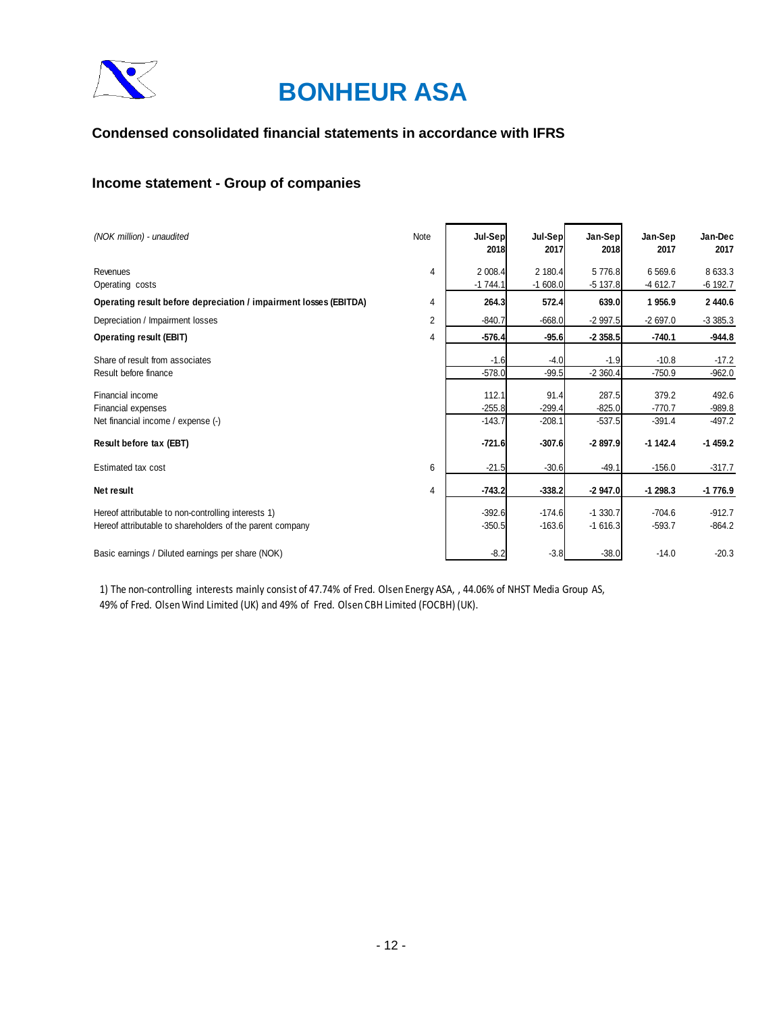

### **Condensed consolidated financial statements in accordance with IFRS**

### **Income statement - Group of companies**

| (NOK million) - unaudited                                                                                        | Note           | Jul-Sep<br>2018               | Jul-Sep<br>2017              | Jan-Sep<br>2018               | Jan-Sep<br>2017               | Jan-Dec<br>2017               |
|------------------------------------------------------------------------------------------------------------------|----------------|-------------------------------|------------------------------|-------------------------------|-------------------------------|-------------------------------|
| Revenues<br>Operating costs                                                                                      | 4              | 2 008.4<br>$-1744.1$          | 2 180.4<br>$-1608.0$         | 5776.8<br>$-5137.8$           | 6 5 6 9.6<br>$-4612.7$        | 8 633.3<br>$-6$ 192.7         |
| Operating result before depreciation / impairment losses (EBITDA)                                                | $\overline{4}$ | 264.3                         | 572.4                        | 639.0                         | 1956.9                        | 2 440.6                       |
| Depreciation / Impairment losses                                                                                 | $\overline{2}$ | $-840.7$                      | $-668.0$                     | $-2997.5$                     | $-2697.0$                     | $-3385.3$                     |
| <b>Operating result (EBIT)</b>                                                                                   | 4              | $-576.4$                      | $-95.6$                      | $-2358.5$                     | $-740.1$                      | $-944.8$                      |
| Share of result from associates<br>Result before finance                                                         |                | $-1.6$<br>$-578.0$            | $-4.0$<br>$-99.5$            | $-1.9$<br>$-2360.4$           | $-10.8$<br>$-750.9$           | $-17.2$<br>$-962.0$           |
| Financial income<br>Financial expenses<br>Net financial income / expense (-)                                     |                | 112.1<br>$-255.8$<br>$-143.7$ | 91.4<br>$-299.4$<br>$-208.1$ | 287.5<br>$-825.0$<br>$-537.5$ | 379.2<br>$-770.7$<br>$-391.4$ | 492.6<br>$-989.8$<br>$-497.2$ |
| Result before tax (EBT)                                                                                          |                | $-721.6$                      | $-307.6$                     | $-2897.9$                     | $-1142.4$                     | $-1459.2$                     |
| Estimated tax cost                                                                                               | 6              | $-21.5$                       | $-30.6$                      | $-49.1$                       | $-156.0$                      | $-317.7$                      |
| Net result                                                                                                       | 4              | $-743.2$                      | $-338.2$                     | $-2947.0$                     | $-1298.3$                     | -1 776.9                      |
| Hereof attributable to non-controlling interests 1)<br>Hereof attributable to shareholders of the parent company |                | $-392.6$<br>$-350.5$          | $-174.6$<br>$-163.6$         | $-1330.7$<br>$-1616.3$        | $-704.6$<br>$-593.7$          | $-912.7$<br>$-864.2$          |
| Basic earnings / Diluted earnings per share (NOK)                                                                |                | $-8.2$                        | $-3.8$                       | $-38.0$                       | $-14.0$                       | $-20.3$                       |

1) The non-controlling interests mainly consist of 47.74% of Fred. Olsen Energy ASA, , 44.06% of NHST Media Group AS, 49% of Fred. Olsen Wind Limited (UK) and 49% of Fred. Olsen CBH Limited (FOCBH) (UK).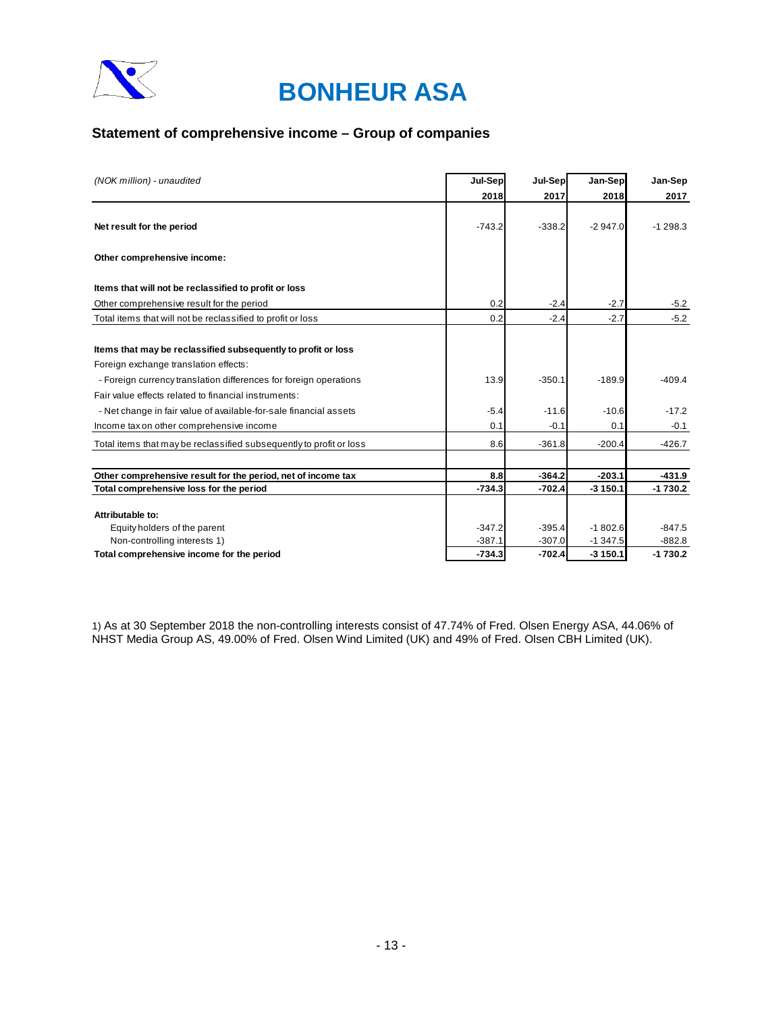

### **Statement of comprehensive income – Group of companies**

| (NOK million) - unaudited                                           | Jul-Sep  | Jul-Sep  | Jan-Sep   | Jan-Sep   |
|---------------------------------------------------------------------|----------|----------|-----------|-----------|
|                                                                     | 2018     | 2017     | 2018      | 2017      |
| Net result for the period                                           | $-743.2$ | $-338.2$ | $-2947.0$ | $-1298.3$ |
|                                                                     |          |          |           |           |
| Other comprehensive income:                                         |          |          |           |           |
| Items that will not be reclassified to profit or loss               |          |          |           |           |
| Other comprehensive result for the period                           | 0.2      | $-2.4$   | $-2.7$    | $-5.2$    |
| Total items that will not be reclassified to profit or loss         | 0.2      | $-2.4$   | $-2.7$    | $-5.2$    |
|                                                                     |          |          |           |           |
| Items that may be reclassified subsequently to profit or loss       |          |          |           |           |
| Foreign exchange translation effects:                               |          |          |           |           |
| - Foreign currency translation differences for foreign operations   | 13.9     | $-350.1$ | $-189.9$  | $-409.4$  |
| Fair value effects related to financial instruments:                |          |          |           |           |
| - Net change in fair value of available-for-sale financial assets   | $-5.4$   | $-11.6$  | $-10.6$   | $-17.2$   |
| Income tax on other comprehensive income                            | 0.1      | $-0.1$   | 0.1       | $-0.1$    |
| Total items that may be reclassified subsequently to profit or loss | 8.6      | $-361.8$ | $-200.4$  | $-426.7$  |
|                                                                     |          |          |           |           |
| Other comprehensive result for the period, net of income tax        | 8.8      | $-364.2$ | $-203.1$  | $-431.9$  |
| Total comprehensive loss for the period                             | $-734.3$ | $-702.4$ | $-3150.1$ | $-1730.2$ |
| Attributable to:                                                    |          |          |           |           |
| Equity holders of the parent                                        | $-347.2$ | $-395.4$ | $-1802.6$ | $-847.5$  |
| Non-controlling interests 1)                                        | $-387.1$ | $-307.0$ | $-1347.5$ | $-882.8$  |
| Total comprehensive income for the period                           | $-734.3$ | $-702.4$ | $-3150.1$ | $-1730.2$ |

1) As at 30 September 2018 the non-controlling interests consist of 47.74% of Fred. Olsen Energy ASA, 44.06% of NHST Media Group AS, 49.00% of Fred. Olsen Wind Limited (UK) and 49% of Fred. Olsen CBH Limited (UK).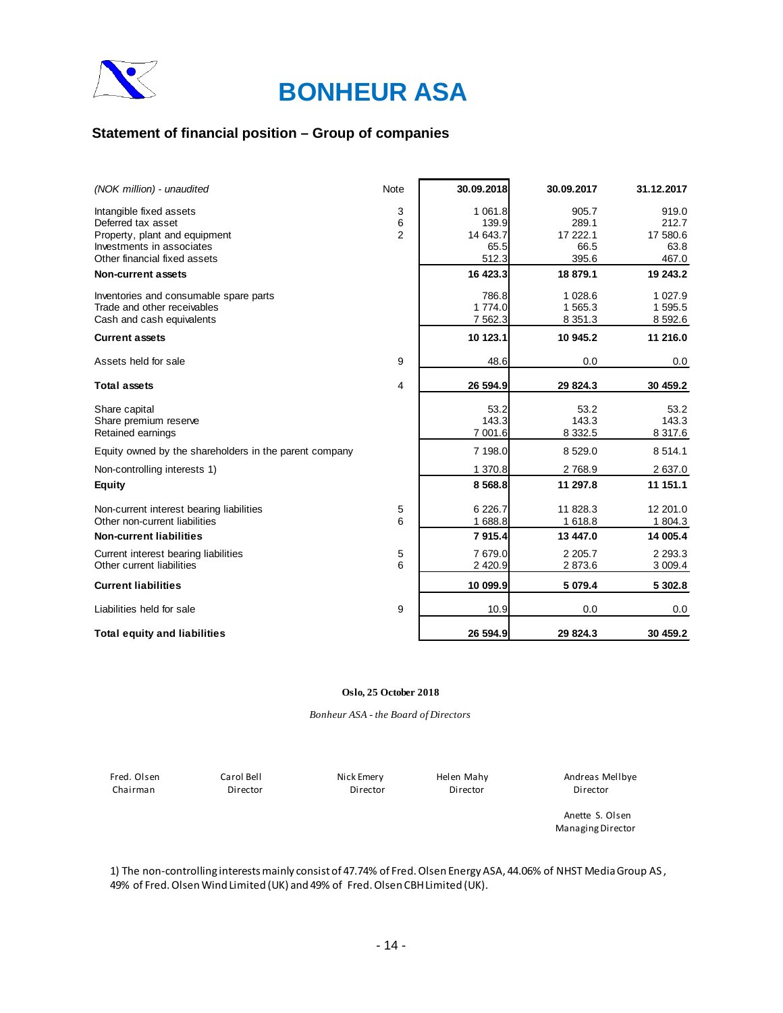

### **Statement of financial position – Group of companies**

| (NOK million) - unaudited                              | Note           | 30.09.2018  | 30.09.2017  | 31.12.2017  |
|--------------------------------------------------------|----------------|-------------|-------------|-------------|
| Intangible fixed assets                                | 3              | 1 0 6 1 . 8 | 905.7       | 919.0       |
| Deferred tax asset                                     | 6              | 139.9       | 289.1       | 212.7       |
| Property, plant and equipment                          | $\overline{2}$ | 14 643.7    | 17 222.1    | 17 580.6    |
| Investments in associates                              |                | 65.5        | 66.5        | 63.8        |
| Other financial fixed assets                           |                | 512.3       | 395.6       | 467.0       |
| <b>Non-current assets</b>                              |                | 16 423.3    | 18 879.1    | 19 243.2    |
| Inventories and consumable spare parts                 |                | 786.8       | 1 0 28.6    | 1 0 27.9    |
| Trade and other receivables                            |                | 1 774.0     | 1 565.3     | 1 595.5     |
| Cash and cash equivalents                              |                | 7 5 6 2.3   | 8 3 5 1 . 3 | 8 592.6     |
| <b>Current assets</b>                                  |                | 10 123.1    | 10 945.2    | 11 216.0    |
| Assets held for sale                                   | 9              | 48.6        | 0.0         | 0.0         |
|                                                        |                |             |             |             |
| <b>Total assets</b>                                    | 4              | 26 594.9    | 29 824.3    | 30 459.2    |
| Share capital                                          |                | 53.2        | 53.2        | 53.2        |
| Share premium reserve                                  |                | 143.3       | 143.3       | 143.3       |
| Retained earnings                                      |                | 7 001.6     | 8 3 3 2.5   | 8 3 1 7 . 6 |
| Equity owned by the shareholders in the parent company |                | 7 198.0     | 8 5 29.0    | 8 5 1 4 . 1 |
| Non-controlling interests 1)                           |                | 1 370.8     | 2768.9      | 2 637.0     |
| <b>Equity</b>                                          |                | 8 5 68.8    | 11 297.8    | 11 151.1    |
| Non-current interest bearing liabilities               | 5              | 6 2 2 6.7   | 11 828.3    | 12 201.0    |
| Other non-current liabilities                          | 6              | 1 688.8     | 1 618.8     | 1 804.3     |
| <b>Non-current liabilities</b>                         |                | 7915.4      | 13 447.0    | 14 005.4    |
| Current interest bearing liabilities                   | 5              | 7679.0      | 2 2 0 5.7   | 2 2 9 3 . 3 |
| Other current liabilities                              | 6              | 2 4 2 0.9   | 2873.6      | 3 009.4     |
| <b>Current liabilities</b>                             |                | 10 099.9    | 5 079.4     | 5 302.8     |
| Liabilities held for sale                              | 9              | 10.9        | 0.0         | 0.0         |
| <b>Total equity and liabilities</b>                    |                | 26 594.9    | 29 824.3    | 30 459.2    |

#### **Oslo, 25 October 2018**

#### *Bonheur ASA - the Board of Directors*

Chairman Director Director Director Director

Fred. Olsen Carol Bell Nick Emery Helen Mahy Andreas Mellbye

Anette S. Olsen Managing Director

1) The non-controlling interests mainly consist of 47.74% of Fred. Olsen Energy ASA, 44.06% of NHST Media Group AS , 49% of Fred. Olsen Wind Limited (UK) and 49% of Fred. Olsen CBH Limited (UK).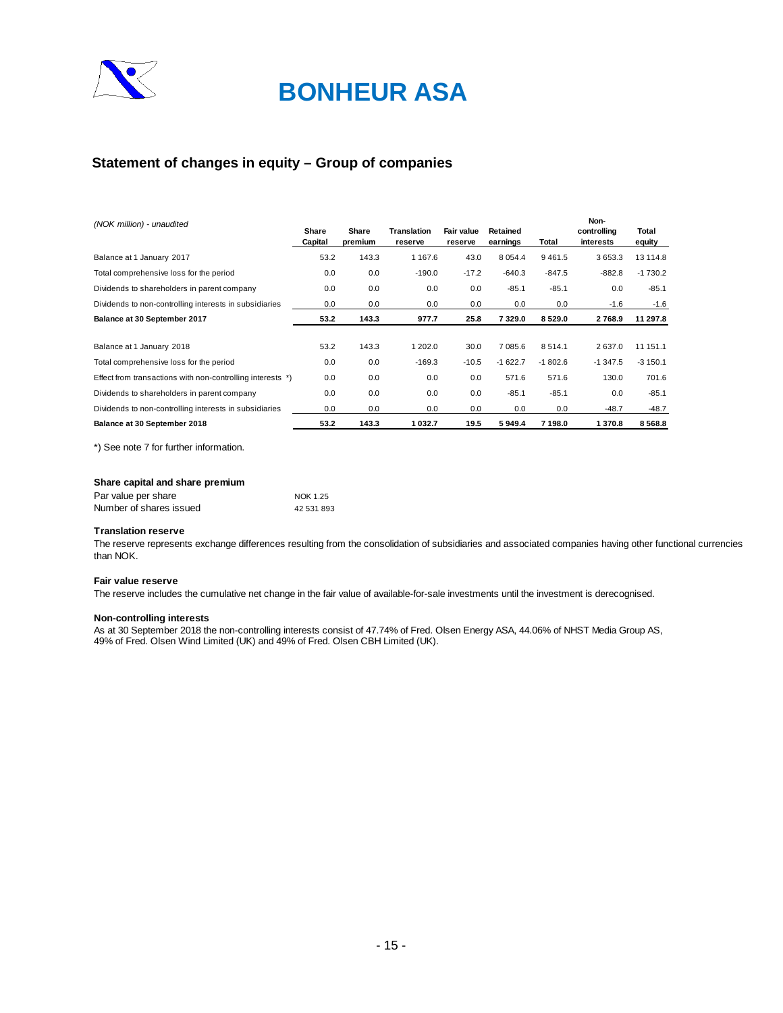

### **Statement of changes in equity – Group of companies**

| (NOK million) - unaudited                                  | Share<br>Capital | Share<br>premium | <b>Translation</b><br>reserve | Fair value<br>reserve | Retained<br>earnings | Total     | Non-<br>controlling<br>interests | Total<br>equity |
|------------------------------------------------------------|------------------|------------------|-------------------------------|-----------------------|----------------------|-----------|----------------------------------|-----------------|
| Balance at 1 January 2017                                  | 53.2             | 143.3            | 1 1 6 7 .6                    | 43.0                  | 8 0 5 4 .4           | 9461.5    | 3653.3                           | 13 114.8        |
| Total comprehensive loss for the period                    | 0.0              | 0.0              | $-190.0$                      | $-17.2$               | $-640.3$             | $-847.5$  | $-882.8$                         | $-1730.2$       |
| Dividends to shareholders in parent company                | 0.0              | 0.0              | 0.0                           | 0.0                   | $-85.1$              | $-85.1$   | 0.0                              | $-85.1$         |
| Dividends to non-controlling interests in subsidiaries     | 0.0              | 0.0              | 0.0                           | 0.0                   | 0.0                  | 0.0       | $-1.6$                           | $-1.6$          |
| Balance at 30 September 2017                               | 53.2             | 143.3            | 977.7                         | 25.8                  | 7329.0               | 8529.0    | 2768.9                           | 11 297.8        |
| Balance at 1 January 2018                                  | 53.2             | 143.3            | 1 202.0                       | 30.0                  | 7085.6               | 8514.1    | 2637.0                           | 11 151.1        |
| Total comprehensive loss for the period                    | 0.0              | 0.0              | $-169.3$                      | $-10.5$               | $-1622.7$            | $-1802.6$ | $-1347.5$                        | $-3150.1$       |
| Effect from transactions with non-controlling interests *) | 0.0              | 0.0              | 0.0                           | 0.0                   | 571.6                | 571.6     | 130.0                            | 701.6           |
| Dividends to shareholders in parent company                | 0.0              | 0.0              | 0.0                           | 0.0                   | $-85.1$              | $-85.1$   | 0.0                              | $-85.1$         |
| Dividends to non-controlling interests in subsidiaries     | 0.0              | 0.0              | 0.0                           | 0.0                   | 0.0                  | 0.0       | $-48.7$                          | $-48.7$         |
| Balance at 30 September 2018                               | 53.2             | 143.3            | 1 032.7                       | 19.5                  | 5949.4               | 7 198.0   | 1370.8                           | 8 5 6 8 .8      |

\*) See note 7 for further information.

#### **Share capital and share premium**

| Par value per share     | NOK 1.25   |
|-------------------------|------------|
| Number of shares issued | 42 531 893 |

#### **Translation reserve**

The reserve represents exchange differences resulting from the consolidation of subsidiaries and associated companies having other functional currencies than NOK.

#### **Fair value reserve**

The reserve includes the cumulative net change in the fair value of available-for-sale investments until the investment is derecognised.

#### **Non-controlling interests**

As at 30 September 2018 the non-controlling interests consist of 47.74% of Fred. Olsen Energy ASA, 44.06% of NHST Media Group AS, 49% of Fred. Olsen Wind Limited (UK) and 49% of Fred. Olsen CBH Limited (UK).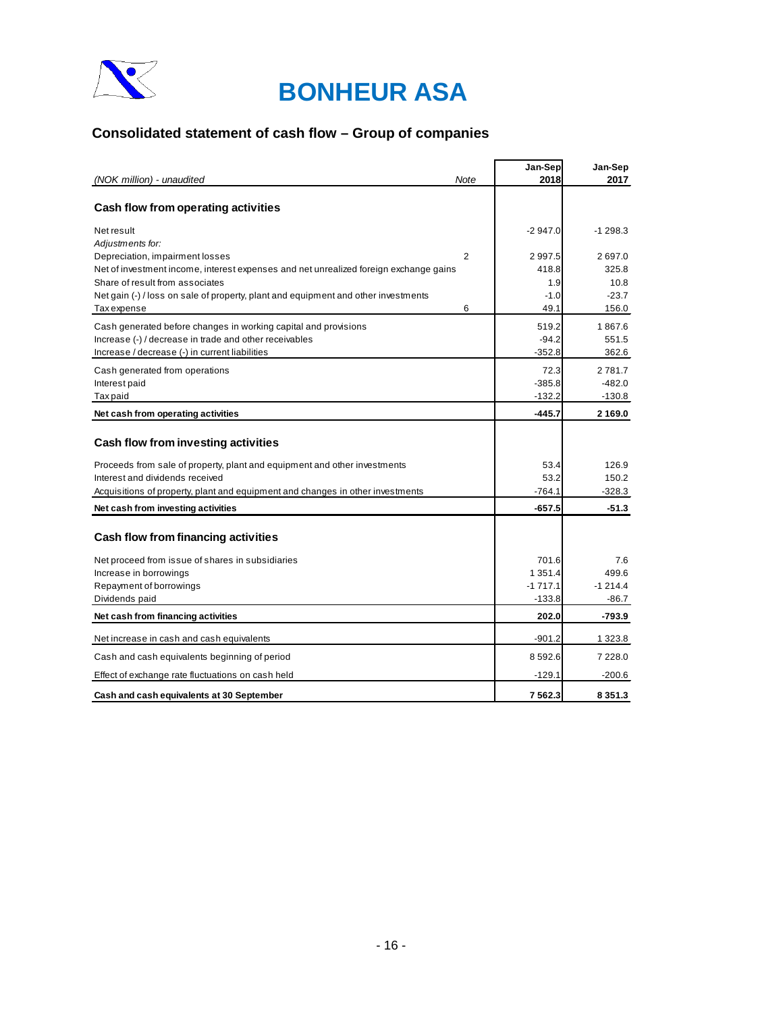

## **Consolidated statement of cash flow – Group of companies**

|                                                                                       |      | Jan-Sep    | Jan-Sep     |
|---------------------------------------------------------------------------------------|------|------------|-------------|
| (NOK million) - unaudited                                                             | Note | 2018       | 2017        |
| Cash flow from operating activities                                                   |      |            |             |
| Net result<br>Adjustments for:                                                        |      | $-2947.0$  | $-1298.3$   |
| Depreciation, impairment losses                                                       | 2    | 2997.5     | 2697.0      |
| Net of investment income, interest expenses and net unrealized foreign exchange gains |      | 418.8      | 325.8       |
| Share of result from associates                                                       |      | 1.9        | 10.8        |
| Net gain (-) / loss on sale of property, plant and equipment and other investments    |      | $-1.0$     | $-23.7$     |
| <b>Tax</b> expense                                                                    | 6    | 49.1       | 156.0       |
| Cash generated before changes in working capital and provisions                       |      | 519.2      | 1867.6      |
| Increase (-) / decrease in trade and other receivables                                |      | $-94.2$    | 551.5       |
| Increase / decrease (-) in current liabilities                                        |      | $-352.8$   | 362.6       |
| Cash generated from operations                                                        |      | 72.3       | 2781.7      |
| Interest paid                                                                         |      | $-385.8$   | $-482.0$    |
| Tax paid                                                                              |      | $-132.2$   | $-130.8$    |
| Net cash from operating activities                                                    |      | $-445.7$   | 2 1 6 9 . 0 |
|                                                                                       |      |            |             |
| Cash flow from investing activities                                                   |      |            |             |
| Proceeds from sale of property, plant and equipment and other investments             |      | 53.4       | 126.9       |
| Interest and dividends received                                                       |      | 53.2       | 150.2       |
| Acquisitions of property, plant and equipment and changes in other investments        |      | $-764.1$   | $-328.3$    |
| Net cash from investing activities                                                    |      | $-657.5$   | $-51.3$     |
| Cash flow from financing activities                                                   |      |            |             |
|                                                                                       |      |            |             |
| Net proceed from issue of shares in subsidiaries                                      |      | 701.6      | 7.6         |
| Increase in borrowings                                                                |      | 1 3 5 1 .4 | 499.6       |
| Repayment of borrowings                                                               |      | $-1717.1$  | $-1214.4$   |
| Dividends paid                                                                        |      | $-133.8$   | $-86.7$     |
| Net cash from financing activities                                                    |      | 202.0      | $-793.9$    |
| Net increase in cash and cash equivalents                                             |      | $-901.2$   | 1 323.8     |
| Cash and cash equivalents beginning of period                                         |      | 8592.6     | 7 2 2 8 .0  |
| Effect of exchange rate fluctuations on cash held                                     |      | $-129.1$   | $-200.6$    |
| Cash and cash equivalents at 30 September                                             |      | 7562.3     | 8 3 5 1 . 3 |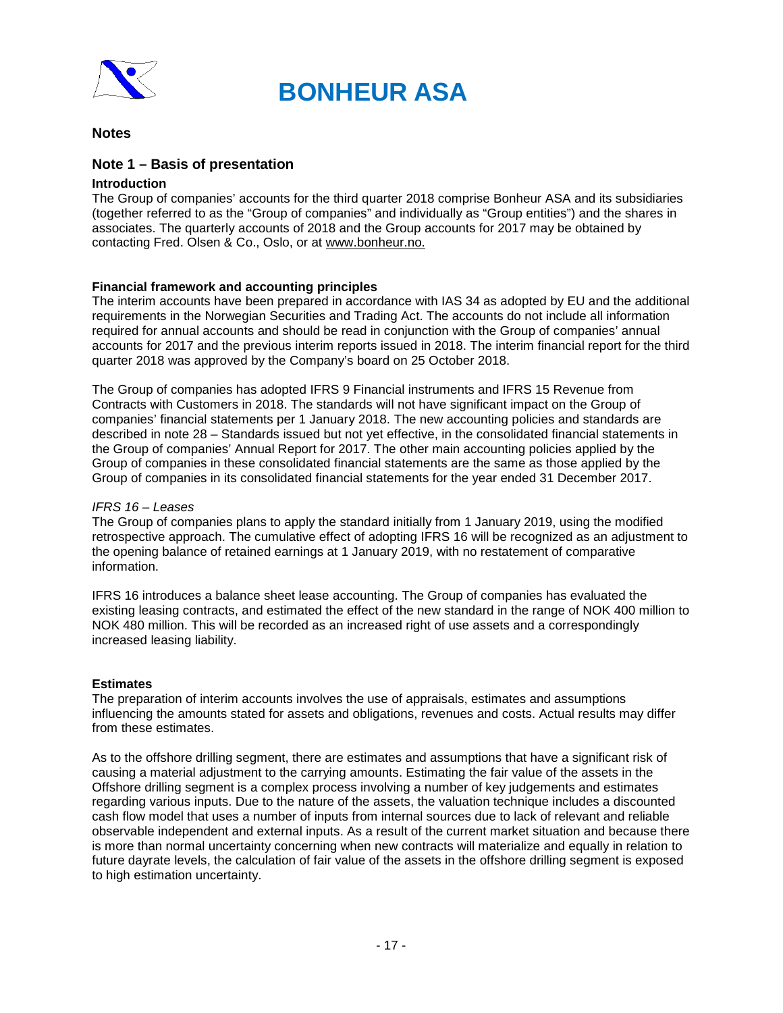

### **Notes**

### **Note 1 – Basis of presentation**

### **Introduction**

The Group of companies' accounts for the third quarter 2018 comprise Bonheur ASA and its subsidiaries (together referred to as the "Group of companies" and individually as "Group entities") and the shares in associates. The quarterly accounts of 2018 and the Group accounts for 2017 may be obtained by contacting Fred. Olsen & Co., Oslo, or at www.bonheur.no.

### **Financial framework and accounting principles**

The interim accounts have been prepared in accordance with IAS 34 as adopted by EU and the additional requirements in the Norwegian Securities and Trading Act. The accounts do not include all information required for annual accounts and should be read in conjunction with the Group of companies' annual accounts for 2017 and the previous interim reports issued in 2018. The interim financial report for the third quarter 2018 was approved by the Company's board on 25 October 2018.

The Group of companies has adopted IFRS 9 Financial instruments and IFRS 15 Revenue from Contracts with Customers in 2018. The standards will not have significant impact on the Group of companies' financial statements per 1 January 2018. The new accounting policies and standards are described in note 28 – Standards issued but not yet effective, in the consolidated financial statements in the Group of companies' Annual Report for 2017. The other main accounting policies applied by the Group of companies in these consolidated financial statements are the same as those applied by the Group of companies in its consolidated financial statements for the year ended 31 December 2017.

### *IFRS 16 – Leases*

The Group of companies plans to apply the standard initially from 1 January 2019, using the modified retrospective approach. The cumulative effect of adopting IFRS 16 will be recognized as an adjustment to the opening balance of retained earnings at 1 January 2019, with no restatement of comparative information.

IFRS 16 introduces a balance sheet lease accounting. The Group of companies has evaluated the existing leasing contracts, and estimated the effect of the new standard in the range of NOK 400 million to NOK 480 million. This will be recorded as an increased right of use assets and a correspondingly increased leasing liability.

### **Estimates**

The preparation of interim accounts involves the use of appraisals, estimates and assumptions influencing the amounts stated for assets and obligations, revenues and costs. Actual results may differ from these estimates.

As to the offshore drilling segment, there are estimates and assumptions that have a significant risk of causing a material adjustment to the carrying amounts. Estimating the fair value of the assets in the Offshore drilling segment is a complex process involving a number of key judgements and estimates regarding various inputs. Due to the nature of the assets, the valuation technique includes a discounted cash flow model that uses a number of inputs from internal sources due to lack of relevant and reliable observable independent and external inputs. As a result of the current market situation and because there is more than normal uncertainty concerning when new contracts will materialize and equally in relation to future dayrate levels, the calculation of fair value of the assets in the offshore drilling segment is exposed to high estimation uncertainty.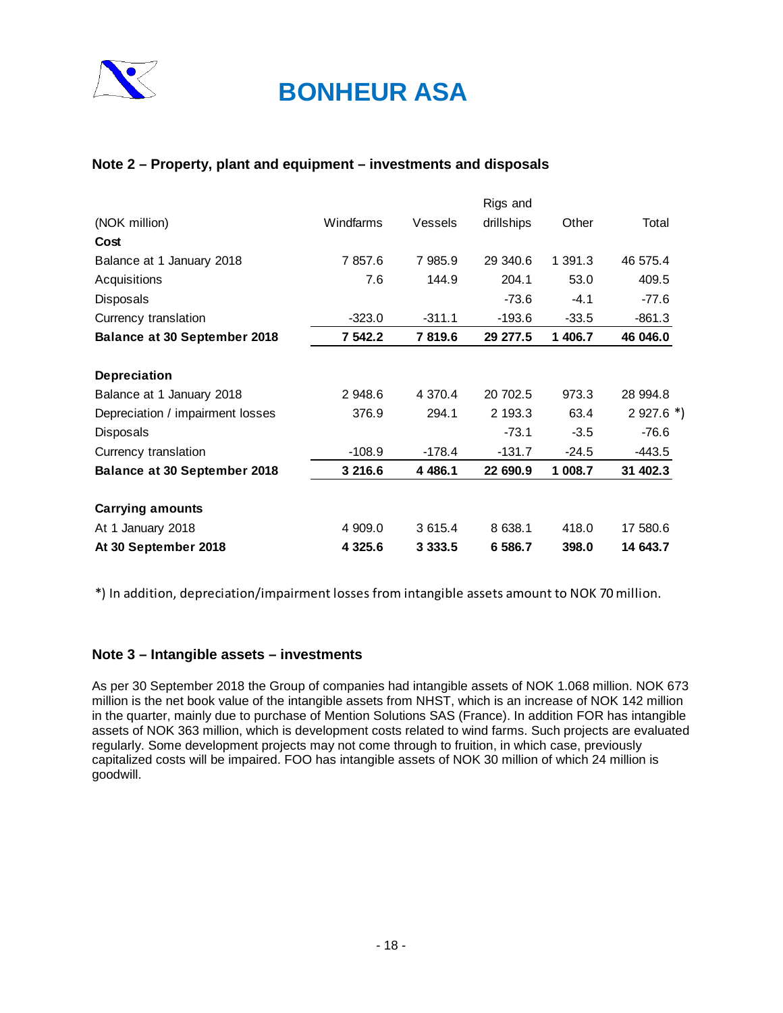

### **Note 2 – Property, plant and equipment – investments and disposals**

|                                     |             |             | Rigs and   |         |             |
|-------------------------------------|-------------|-------------|------------|---------|-------------|
| (NOK million)                       | Windfarms   | Vessels     | drillships | Other   | Total       |
| Cost                                |             |             |            |         |             |
| Balance at 1 January 2018           | 7 857.6     | 7 985.9     | 29 340.6   | 1 391.3 | 46 575.4    |
| Acquisitions                        | 7.6         | 144.9       | 204.1      | 53.0    | 409.5       |
| <b>Disposals</b>                    |             |             | $-73.6$    | $-4.1$  | $-77.6$     |
| Currency translation                | $-323.0$    | $-311.1$    | $-193.6$   | $-33.5$ | $-861.3$    |
| <b>Balance at 30 September 2018</b> | 7 542.2     | 7819.6      | 29 277.5   | 1 406.7 | 46 046.0    |
| <b>Depreciation</b>                 |             |             |            |         |             |
| Balance at 1 January 2018           | 2 948.6     | 4 3 7 0 . 4 | 20 702.5   | 973.3   | 28 994.8    |
| Depreciation / impairment losses    | 376.9       | 294.1       | 2 193.3    | 63.4    | $2927.6$ *) |
| <b>Disposals</b>                    |             |             | $-73.1$    | $-3.5$  | -76.6       |
| Currency translation                | $-108.9$    | -178.4      | $-131.7$   | -24.5   | -443.5      |
| <b>Balance at 30 September 2018</b> | 3 216.6     | 4 4 8 6.1   | 22 690.9   | 1 008.7 | 31 402.3    |
| <b>Carrying amounts</b>             |             |             |            |         |             |
| At 1 January 2018                   | 4 909.0     | 3 6 1 5 . 4 | 8 638.1    | 418.0   | 17 580.6    |
| At 30 September 2018                | 4 3 2 5 . 6 | 3 3 3 3 .5  | 6 586.7    | 398.0   | 14 643.7    |

\*) In addition, depreciation/impairment losses from intangible assets amount to NOK 70 million.

### **Note 3 – Intangible assets – investments**

As per 30 September 2018 the Group of companies had intangible assets of NOK 1.068 million. NOK 673 million is the net book value of the intangible assets from NHST, which is an increase of NOK 142 million in the quarter, mainly due to purchase of Mention Solutions SAS (France). In addition FOR has intangible assets of NOK 363 million, which is development costs related to wind farms. Such projects are evaluated regularly. Some development projects may not come through to fruition, in which case, previously capitalized costs will be impaired. FOO has intangible assets of NOK 30 million of which 24 million is goodwill.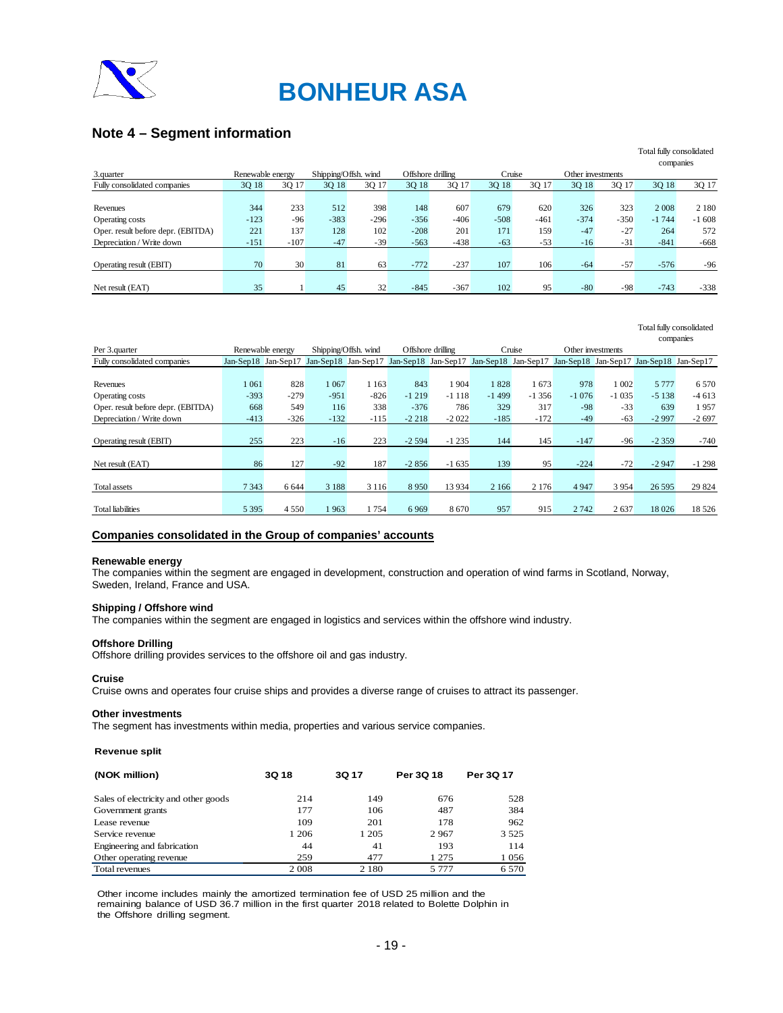

### **Note 4 – Segment information**

|                                    |                  |        |                      |        |                   |        |        |        |                   |        | TOtal Riny Consolidation |         |
|------------------------------------|------------------|--------|----------------------|--------|-------------------|--------|--------|--------|-------------------|--------|--------------------------|---------|
|                                    |                  |        |                      |        |                   |        |        |        |                   |        | companies                |         |
| 3.quarter                          | Renewable energy |        | Shipping/Offsh. wind |        | Offshore drilling |        | Cruise |        | Other investments |        |                          |         |
| Fully consolidated companies       | 3Q 18            | 3Q 17  | 3Q 18                | 3Q 17  | 3Q 18             | 3Q 17  | 3Q 18  | 3Q 17  | 3Q 18             | 3Q 17  | 3Q 18                    | 3Q 17   |
|                                    |                  |        |                      |        |                   |        |        |        |                   |        |                          |         |
| Revenues                           | 344              | 233    | 512                  | 398    | 148               | 607    | 679    | 620    | 326               | 323    | 2 0 0 8                  | 2 1 8 0 |
| Operating costs                    | $-123$           | $-96$  | $-383$               | $-296$ | $-356$            | $-406$ | $-508$ | $-461$ | $-374$            | $-350$ | $-1744$                  | $-1608$ |
| Oper. result before depr. (EBITDA) | 221              | 137    | 128                  | 102    | $-208$            | 201    | 171    | 159    | $-47$             | $-27$  | 264                      | 572     |
| Depreciation / Write down          | $-151$           | $-107$ | $-47$                | $-39$  | $-563$            | $-438$ | $-63$  | $-53$  | $-16$             | $-31$  | $-841$                   | $-668$  |
|                                    |                  |        |                      |        |                   |        |        |        |                   |        |                          |         |
| Operating result (EBIT)            | 70               | 30     | 81                   | 63     | $-772$            | $-237$ | 107    | 106    | $-64$             | $-57$  | $-576$                   | $-96$   |
|                                    |                  |        |                      |        |                   |        |        |        |                   |        |                          |         |
| Net result (EAT)                   | 35               |        | 45                   | 32     | $-845$            | $-367$ | 102    | 95     | $-80$             | $-98$  | $-743$                   | $-338$  |
|                                    |                  |        |                      |        |                   |        |        |        |                   |        |                          |         |

Total fully consolidated

Total fully consolidated

|                                    |         |                     |         |                      |          |                   |         |         |         |                   |                                                                                                     | companies |
|------------------------------------|---------|---------------------|---------|----------------------|----------|-------------------|---------|---------|---------|-------------------|-----------------------------------------------------------------------------------------------------|-----------|
| Per 3.quarter                      |         | Renewable energy    |         | Shipping/Offsh. wind |          | Offshore drilling |         | Cruise  |         | Other investments |                                                                                                     |           |
| Fully consolidated companies       |         | Jan-Sep18 Jan-Sep17 |         |                      |          |                   |         |         |         |                   | Jan-Sep18 Jan-Sep17 Jan-Sep18 Jan-Sep17 Jan-Sep18 Jan-Sep17 Jan-Sep18 Jan-Sep17 Jan-Sep18 Jan-Sep17 |           |
|                                    |         |                     |         |                      |          |                   |         |         |         |                   |                                                                                                     |           |
| Revenues                           | 1061    | 828                 | 1 0 6 7 | 1 1 6 3              | 843      | 1 904             | 1828    | 1673    | 978     | 002               | 5 7 7 7 7                                                                                           | 6 5 7 0   |
| Operating costs                    | $-393$  | $-279$              | $-951$  | $-826$               | $-1219$  | $-1118$           | $-1499$ | $-1356$ | $-1076$ | $-1035$           | $-5138$                                                                                             | $-4613$   |
| Oper. result before depr. (EBITDA) | 668     | 549                 | 116     | 338                  | $-376$   | 786               | 329     | 317     | $-98$   | $-33$             | 639                                                                                                 | 1957      |
| Depreciation / Write down          | $-413$  | $-326$              | $-132$  | $-115$               | $-2218$  | $-2022$           | $-185$  | $-172$  | $-49$   | $-63$             | $-2997$                                                                                             | $-2697$   |
|                                    |         |                     |         |                      |          |                   |         |         |         |                   |                                                                                                     |           |
| Operating result (EBIT)            | 255     | 223                 | $-16$   | 223                  | $-2.594$ | $-1235$           | 144     | 145     | $-147$  | $-96$             | $-2359$                                                                                             | $-740$    |
|                                    |         |                     |         |                      |          |                   |         |         |         |                   |                                                                                                     |           |
| Net result (EAT)                   | 86      | 127                 | $-92$   | 187                  | $-2856$  | $-1635$           | 139     | 95      | $-224$  | $-72$             | $-2947$                                                                                             | $-1298$   |
|                                    |         |                     |         |                      |          |                   |         |         |         |                   |                                                                                                     |           |
| <b>Total assets</b>                | 7 3 4 3 | 6 6 4 4             | 3 1 8 8 | 3 1 1 6              | 8950     | 13 9 34           | 2 1 6 6 | 2 1 7 6 | 4 9 4 7 | 3954              | 26 5 95                                                                                             | 29 824    |
|                                    |         |                     |         |                      |          |                   |         |         |         |                   |                                                                                                     |           |
| <b>Total liabilities</b>           | 5 3 9 5 | 4 5 5 0             | 1963    | 1754                 | 6969     | 8670              | 957     | 915     | 2 7 4 2 | 2637              | 18 0 26                                                                                             | 18 5 26   |
|                                    |         |                     |         |                      |          |                   |         |         |         |                   |                                                                                                     |           |

#### **Companies consolidated in the Group of companies' accounts**

#### **Renewable energy**

The companies within the segment are engaged in development, construction and operation of wind farms in Scotland, Norway, Sweden, Ireland, France and USA.

#### **Shipping / Offshore wind**

The companies within the segment are engaged in logistics and services within the offshore wind industry.

#### **Offshore Drilling**

Offshore drilling provides services to the offshore oil and gas industry.

#### **Cruise**

Cruise owns and operates four cruise ships and provides a diverse range of cruises to attract its passenger.

### **Other investments**

The segment has investments within media, properties and various service companies.

#### **Revenue split**

| (NOK million)                        | 3Q 18   | <b>3Q17</b> | Per 3Q 18 | Per 3Q 17 |
|--------------------------------------|---------|-------------|-----------|-----------|
| Sales of electricity and other goods | 214     | 149         | 676       | 528       |
| Government grants                    | 177     | 106         | 487       | 384       |
| Lease revenue                        | 109     | 201         | 178       | 962       |
| Service revenue                      | 1 206   | 1 2 0 5     | 2967      | 3 5 2 5   |
| Engineering and fabrication          | 44      | 41          | 193       | 114       |
| Other operating revenue              | 259     | 477         | 1 2 7 5   | 1056      |
| Total revenues                       | 2 0 0 8 | 2 1 8 0     | 5 777     | 6 5 7 0   |

Other income includes mainly the amortized termination fee of USD 25 million and the remaining balance of USD 36.7 million in the first quarter 2018 related to Bolette Dolphin in the Offshore drilling segment.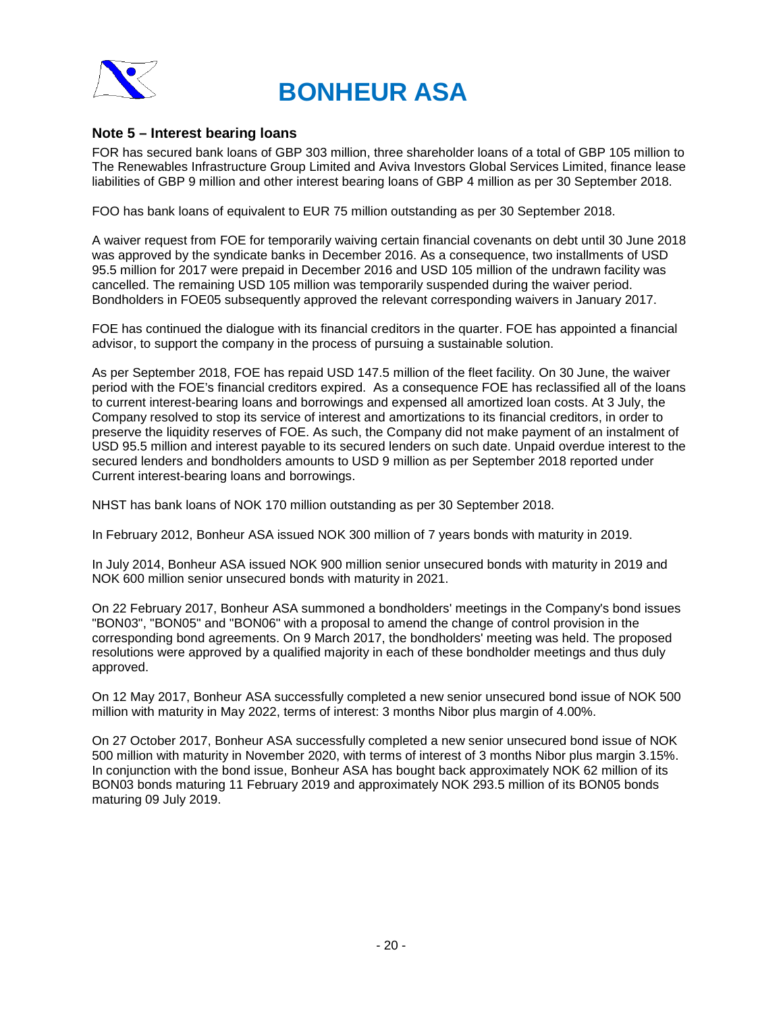



### **Note 5 – Interest bearing loans**

FOR has secured bank loans of GBP 303 million, three shareholder loans of a total of GBP 105 million to The Renewables Infrastructure Group Limited and Aviva Investors Global Services Limited, finance lease liabilities of GBP 9 million and other interest bearing loans of GBP 4 million as per 30 September 2018.

FOO has bank loans of equivalent to EUR 75 million outstanding as per 30 September 2018.

A waiver request from FOE for temporarily waiving certain financial covenants on debt until 30 June 2018 was approved by the syndicate banks in December 2016. As a consequence, two installments of USD 95.5 million for 2017 were prepaid in December 2016 and USD 105 million of the undrawn facility was cancelled. The remaining USD 105 million was temporarily suspended during the waiver period. Bondholders in FOE05 subsequently approved the relevant corresponding waivers in January 2017.

FOE has continued the dialogue with its financial creditors in the quarter. FOE has appointed a financial advisor, to support the company in the process of pursuing a sustainable solution.

As per September 2018, FOE has repaid USD 147.5 million of the fleet facility. On 30 June, the waiver period with the FOE's financial creditors expired. As a consequence FOE has reclassified all of the loans to current interest-bearing loans and borrowings and expensed all amortized loan costs. At 3 July, the Company resolved to stop its service of interest and amortizations to its financial creditors, in order to preserve the liquidity reserves of FOE. As such, the Company did not make payment of an instalment of USD 95.5 million and interest payable to its secured lenders on such date. Unpaid overdue interest to the secured lenders and bondholders amounts to USD 9 million as per September 2018 reported under Current interest-bearing loans and borrowings.

NHST has bank loans of NOK 170 million outstanding as per 30 September 2018.

In February 2012, Bonheur ASA issued NOK 300 million of 7 years bonds with maturity in 2019.

In July 2014, Bonheur ASA issued NOK 900 million senior unsecured bonds with maturity in 2019 and NOK 600 million senior unsecured bonds with maturity in 2021.

On 22 February 2017, Bonheur ASA summoned a bondholders' meetings in the Company's bond issues "BON03", "BON05" and "BON06" with a proposal to amend the change of control provision in the corresponding bond agreements. On 9 March 2017, the bondholders' meeting was held. The proposed resolutions were approved by a qualified majority in each of these bondholder meetings and thus duly approved.

On 12 May 2017, Bonheur ASA successfully completed a new senior unsecured bond issue of NOK 500 million with maturity in May 2022, terms of interest: 3 months Nibor plus margin of 4.00%.

On 27 October 2017, Bonheur ASA successfully completed a new senior unsecured bond issue of NOK 500 million with maturity in November 2020, with terms of interest of 3 months Nibor plus margin 3.15%. In conjunction with the bond issue, Bonheur ASA has bought back approximately NOK 62 million of its BON03 bonds maturing 11 February 2019 and approximately NOK 293.5 million of its BON05 bonds maturing 09 July 2019.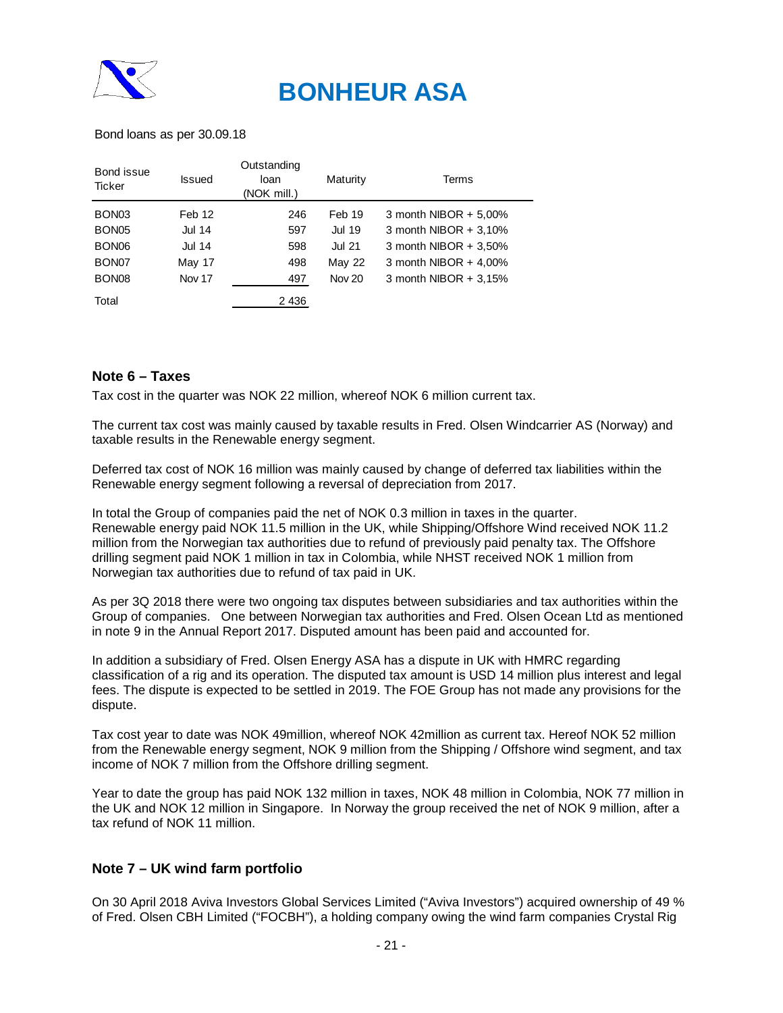

Bond loans as per 30.09.18

| Bond issue<br>Ticker | <b>Issued</b> | Outstanding<br>loan<br>(NOK mill.) | Maturity      | Terms                 |
|----------------------|---------------|------------------------------------|---------------|-----------------------|
| BON <sub>03</sub>    | Feb 12        | 246                                | Feb 19        | 3 month NIBOR + 5,00% |
| BON <sub>05</sub>    | <b>Jul 14</b> | 597                                | <b>Jul 19</b> | 3 month NIBOR + 3,10% |
| BON <sub>06</sub>    | <b>Jul 14</b> | 598                                | <b>Jul 21</b> | 3 month NIBOR + 3,50% |
| BON <sub>07</sub>    | May 17        | 498                                | <b>May 22</b> | 3 month NIBOR + 4,00% |
| BON <sub>08</sub>    | Nov 17        | 497                                | <b>Nov 20</b> | 3 month NIBOR + 3,15% |
| Total                |               | 2 4 3 6                            |               |                       |

### **Note 6 – Taxes**

Tax cost in the quarter was NOK 22 million, whereof NOK 6 million current tax.

The current tax cost was mainly caused by taxable results in Fred. Olsen Windcarrier AS (Norway) and taxable results in the Renewable energy segment.

Deferred tax cost of NOK 16 million was mainly caused by change of deferred tax liabilities within the Renewable energy segment following a reversal of depreciation from 2017.

In total the Group of companies paid the net of NOK 0.3 million in taxes in the quarter. Renewable energy paid NOK 11.5 million in the UK, while Shipping/Offshore Wind received NOK 11.2 million from the Norwegian tax authorities due to refund of previously paid penalty tax. The Offshore drilling segment paid NOK 1 million in tax in Colombia, while NHST received NOK 1 million from Norwegian tax authorities due to refund of tax paid in UK.

As per 3Q 2018 there were two ongoing tax disputes between subsidiaries and tax authorities within the Group of companies. One between Norwegian tax authorities and Fred. Olsen Ocean Ltd as mentioned in note 9 in the Annual Report 2017. Disputed amount has been paid and accounted for.

In addition a subsidiary of Fred. Olsen Energy ASA has a dispute in UK with HMRC regarding classification of a rig and its operation. The disputed tax amount is USD 14 million plus interest and legal fees. The dispute is expected to be settled in 2019. The FOE Group has not made any provisions for the dispute.

Tax cost year to date was NOK 49million, whereof NOK 42million as current tax. Hereof NOK 52 million from the Renewable energy segment, NOK 9 million from the Shipping / Offshore wind segment, and tax income of NOK 7 million from the Offshore drilling segment.

Year to date the group has paid NOK 132 million in taxes, NOK 48 million in Colombia, NOK 77 million in the UK and NOK 12 million in Singapore. In Norway the group received the net of NOK 9 million, after a tax refund of NOK 11 million.

### **Note 7 – UK wind farm portfolio**

On 30 April 2018 Aviva Investors Global Services Limited ("Aviva Investors") acquired ownership of 49 % of Fred. Olsen CBH Limited ("FOCBH"), a holding company owing the wind farm companies Crystal Rig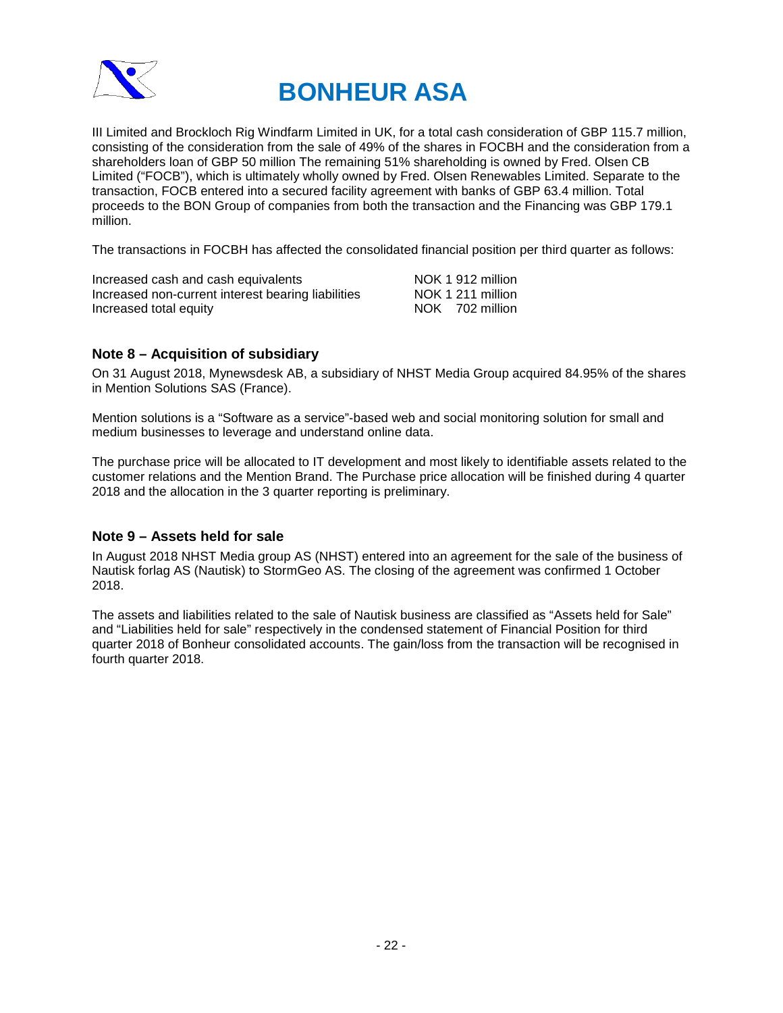

III Limited and Brockloch Rig Windfarm Limited in UK, for a total cash consideration of GBP 115.7 million, consisting of the consideration from the sale of 49% of the shares in FOCBH and the consideration from a shareholders loan of GBP 50 million The remaining 51% shareholding is owned by Fred. Olsen CB Limited ("FOCB"), which is ultimately wholly owned by Fred. Olsen Renewables Limited. Separate to the transaction, FOCB entered into a secured facility agreement with banks of GBP 63.4 million. Total proceeds to the BON Group of companies from both the transaction and the Financing was GBP 179.1 million.

The transactions in FOCBH has affected the consolidated financial position per third quarter as follows:

| Increased cash and cash equivalents                | NOK 1 912 million |
|----------------------------------------------------|-------------------|
| Increased non-current interest bearing liabilities | NOK 1 211 million |
| Increased total equity                             | NOK 702 million   |

### **Note 8 – Acquisition of subsidiary**

On 31 August 2018, Mynewsdesk AB, a subsidiary of NHST Media Group acquired 84.95% of the shares in Mention Solutions SAS (France).

Mention solutions is a "Software as a service"-based web and social monitoring solution for small and medium businesses to leverage and understand online data.

The purchase price will be allocated to IT development and most likely to identifiable assets related to the customer relations and the Mention Brand. The Purchase price allocation will be finished during 4 quarter 2018 and the allocation in the 3 quarter reporting is preliminary.

### **Note 9 – Assets held for sale**

In August 2018 NHST Media group AS (NHST) entered into an agreement for the sale of the business of Nautisk forlag AS (Nautisk) to StormGeo AS. The closing of the agreement was confirmed 1 October 2018.

The assets and liabilities related to the sale of Nautisk business are classified as "Assets held for Sale" and "Liabilities held for sale" respectively in the condensed statement of Financial Position for third quarter 2018 of Bonheur consolidated accounts. The gain/loss from the transaction will be recognised in fourth quarter 2018.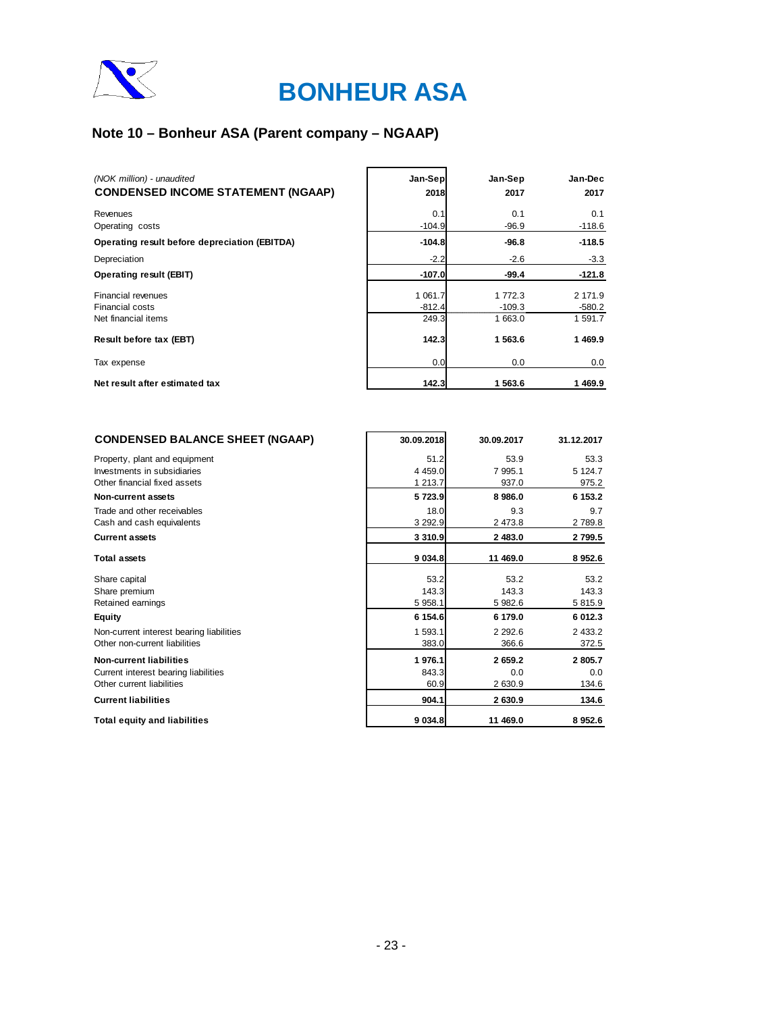

## **Note 10 – Bonheur ASA (Parent company – NGAAP)**

| (NOK million) - unaudited<br><b>CONDENSED INCOME STATEMENT (NGAAP)</b> | Jan-Sep<br>2018                  | Jan-Sep<br>2017                | Jan-Dec<br>2017                |
|------------------------------------------------------------------------|----------------------------------|--------------------------------|--------------------------------|
| Revenues<br>Operating costs                                            | 0.1<br>$-104.9$                  | 0.1<br>$-96.9$                 | 0.1<br>$-118.6$                |
| Operating result before depreciation (EBITDA)                          | $-104.8$                         | $-96.8$                        | $-118.5$                       |
| Depreciation                                                           | $-2.2$                           | $-2.6$                         | $-3.3$                         |
| Operating result (EBIT)                                                | $-107.0$                         | $-99.4$                        | $-121.8$                       |
| Financial revenues<br>Financial costs<br>Net financial items           | 1 0 6 1 . 7<br>$-812.4$<br>249.3 | 1 772.3<br>$-109.3$<br>1 663.0 | 2 171.9<br>$-580.2$<br>1 591.7 |
| Result before tax (EBT)                                                | 142.3                            | 1 563.6                        | 1469.9                         |
| Tax expense                                                            | 0.0                              | 0.0                            | 0.0                            |
| Net result after estimated tax                                         | 142.3                            | 1 563.6                        | 1469.9                         |

| <b>CONDENSED BALANCE SHEET (NGAAP)</b>                       | 30.09.2018        | 30.09.2017      | 31.12.2017      |
|--------------------------------------------------------------|-------------------|-----------------|-----------------|
| Property, plant and equipment<br>Investments in subsidiaries | 51.2<br>4 4 5 9.0 | 53.9<br>7 995.1 | 53.3<br>5 124.7 |
| Other financial fixed assets                                 | 1 213.7           | 937.0           | 975.2           |
| <b>Non-current assets</b>                                    | 5723.9            | 8986.0          | 6 153.2         |
| Trade and other receivables<br>Cash and cash equivalents     | 18.0<br>3 2 9 2.9 | 9.3<br>2 473.8  | 9.7<br>2789.8   |
| <b>Current assets</b>                                        | 3 3 1 0.9         | 2 483.0         | 2799.5          |
| <b>Total assets</b>                                          | 9 0 34.8          | 11 469.0        | 8 9 5 2.6       |
| Share capital                                                | 53.2              | 53.2            | 53.2            |
| Share premium                                                | 143.3             | 143.3           | 143.3           |
| Retained earnings                                            | 5 958.1           | 5 982.6         | 5 815.9         |
| <b>Equity</b>                                                | 6 154.6           | 6 179.0         | 6 012.3         |
| Non-current interest bearing liabilities                     | 1 593.1           | 2 2 9 2.6       | 2 4 3 3.2       |
| Other non-current liabilities                                | 383.0             | 366.6           | 372.5           |
| <b>Non-current liabilities</b>                               | 1976.1            | 2 659.2         | 2805.7          |
| Current interest bearing liabilities                         | 843.3             | 0.0             | 0.0             |
| Other current liabilities                                    | 60.9              | 2 630.9         | 134.6           |
| <b>Current liabilities</b>                                   | 904.1             | 2 630.9         | 134.6           |
| <b>Total equity and liabilities</b>                          | 9 0 34.8          | 11 469.0        | 8952.6          |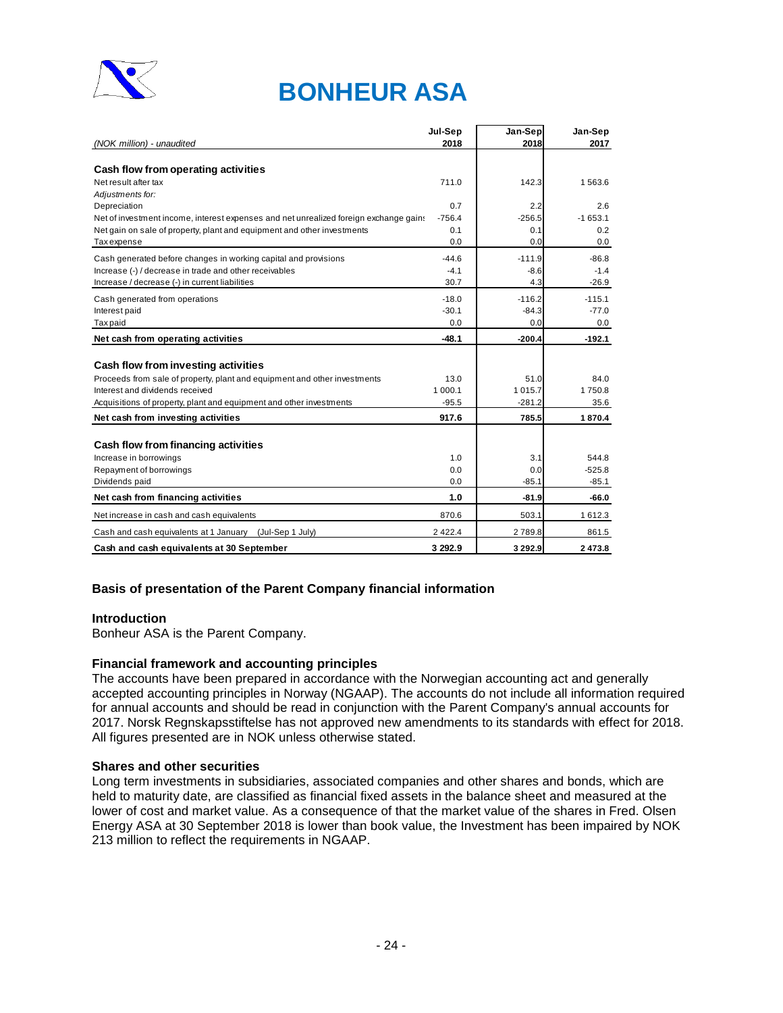

|                                                                                       | Jul-Sep     | Jan-Sep     | Jan-Sep   |
|---------------------------------------------------------------------------------------|-------------|-------------|-----------|
| (NOK million) - unaudited                                                             | 2018        | 2018        | 2017      |
|                                                                                       |             |             |           |
| Cash flow from operating activities                                                   |             |             |           |
| Net result after tax                                                                  | 711.0       | 142.3       | 1563.6    |
| Adjustments for:                                                                      |             |             |           |
| Depreciation                                                                          | 0.7         | 2.2         | 2.6       |
| Net of investment income, interest expenses and net unrealized foreign exchange gains | $-756.4$    | $-256.5$    | $-1653.1$ |
| Net gain on sale of property, plant and equipment and other investments               | 0.1         | 0.1         | 0.2       |
| <b>Tax</b> expense                                                                    | 0.0         | 0.0         | 0.0       |
| Cash generated before changes in working capital and provisions                       | $-44.6$     | $-111.9$    | $-86.8$   |
| Increase (-) / decrease in trade and other receivables                                | $-4.1$      | $-8.6$      | $-1.4$    |
| Increase / decrease (-) in current liabilities                                        | 30.7        | 4.3         | $-26.9$   |
| Cash generated from operations                                                        | $-18.0$     | $-116.2$    | $-115.1$  |
| Interest paid                                                                         | $-30.1$     | $-84.3$     | $-77.0$   |
| <b>Taxpaid</b>                                                                        | 0.0         | 0.0         | 0.0       |
| Net cash from operating activities                                                    | -48.1       | $-200.4$    | $-192.1$  |
|                                                                                       |             |             |           |
| Cash flow from investing activities                                                   |             |             |           |
| Proceeds from sale of property, plant and equipment and other investments             | 13.0        | 51.0        | 84.0      |
| Interest and dividends received                                                       | 1 000.1     | 1015.7      | 1750.8    |
| Acquisitions of property, plant and equipment and other investments                   | $-95.5$     | $-281.2$    | 35.6      |
| Net cash from investing activities                                                    | 917.6       | 785.5       | 1870.4    |
|                                                                                       |             |             |           |
| Cash flow from financing activities                                                   |             |             |           |
| Increase in borrowings                                                                | 1.0         | 3.1         | 544.8     |
| Repayment of borrowings                                                               | 0.0         | 0.0         | $-525.8$  |
| Dividends paid                                                                        | 0.0         | $-85.1$     | $-85.1$   |
| Net cash from financing activities                                                    | 1.0         | $-81.9$     | -66.0     |
| Net increase in cash and cash equivalents                                             | 870.6       | 503.1       | 1612.3    |
| Cash and cash equivalents at 1 January (Jul-Sep 1 July)                               | 2 4 2 2 . 4 | 2789.8      | 861.5     |
| Cash and cash equivalents at 30 September                                             | 3 292.9     | 3 2 9 2 . 9 | 2473.8    |

### **Basis of presentation of the Parent Company financial information**

### **Introduction**

Bonheur ASA is the Parent Company.

### **Financial framework and accounting principles**

The accounts have been prepared in accordance with the Norwegian accounting act and generally accepted accounting principles in Norway (NGAAP). The accounts do not include all information required for annual accounts and should be read in conjunction with the Parent Company's annual accounts for 2017. Norsk Regnskapsstiftelse has not approved new amendments to its standards with effect for 2018. All figures presented are in NOK unless otherwise stated.

### **Shares and other securities**

Long term investments in subsidiaries, associated companies and other shares and bonds, which are held to maturity date, are classified as financial fixed assets in the balance sheet and measured at the lower of cost and market value. As a consequence of that the market value of the shares in Fred. Olsen Energy ASA at 30 September 2018 is lower than book value, the Investment has been impaired by NOK 213 million to reflect the requirements in NGAAP.